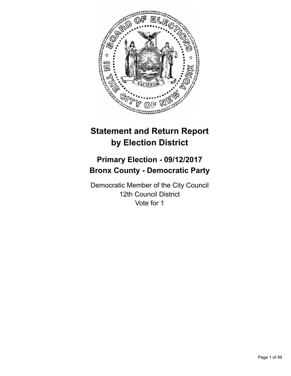

# **Statement and Return Report by Election District**

# **Primary Election - 09/12/2017 Bronx County - Democratic Party**

Democratic Member of the City Council 12th Council District Vote for 1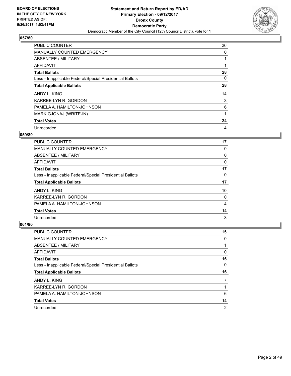

| <b>PUBLIC COUNTER</b>                                    | 26 |
|----------------------------------------------------------|----|
| <b>MANUALLY COUNTED EMERGENCY</b>                        | 0  |
| ABSENTEE / MILITARY                                      |    |
| <b>AFFIDAVIT</b>                                         |    |
| <b>Total Ballots</b>                                     | 28 |
| Less - Inapplicable Federal/Special Presidential Ballots | 0  |
| <b>Total Applicable Ballots</b>                          | 28 |
| ANDY L. KING                                             | 14 |
| KARREE-LYN R. GORDON                                     | 3  |
| PAMELA A. HAMILTON-JOHNSON                               | 6  |
| MARK GJONAJ (WRITE-IN)                                   | 1  |
| <b>Total Votes</b>                                       | 24 |
| Unrecorded                                               | 4  |

## **059/80**

| <b>PUBLIC COUNTER</b>                                    | 17 |
|----------------------------------------------------------|----|
| <b>MANUALLY COUNTED EMERGENCY</b>                        | 0  |
| ABSENTEE / MILITARY                                      | 0  |
| AFFIDAVIT                                                | 0  |
| <b>Total Ballots</b>                                     | 17 |
| Less - Inapplicable Federal/Special Presidential Ballots | 0  |
| <b>Total Applicable Ballots</b>                          | 17 |
| ANDY L. KING                                             | 10 |
| KARREE-LYN R. GORDON                                     | 0  |
| PAMELA A. HAMILTON-JOHNSON                               | 4  |
| <b>Total Votes</b>                                       | 14 |
| Unrecorded                                               | 3  |

| <b>PUBLIC COUNTER</b>                                    | 15 |
|----------------------------------------------------------|----|
| <b>MANUALLY COUNTED EMERGENCY</b>                        | 0  |
| ABSENTEE / MILITARY                                      |    |
| AFFIDAVIT                                                | 0  |
| <b>Total Ballots</b>                                     | 16 |
| Less - Inapplicable Federal/Special Presidential Ballots | 0  |
|                                                          |    |
| <b>Total Applicable Ballots</b>                          | 16 |
| ANDY L. KING                                             |    |
| KARREE-LYN R. GORDON                                     |    |
| PAMELA A. HAMILTON-JOHNSON                               | 6  |
| <b>Total Votes</b>                                       | 14 |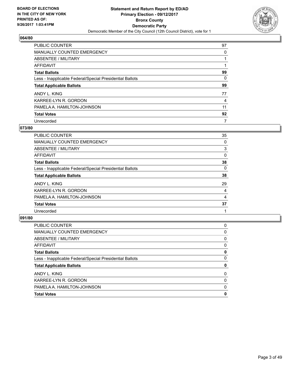

| <b>PUBLIC COUNTER</b>                                    | 97 |
|----------------------------------------------------------|----|
| <b>MANUALLY COUNTED EMERGENCY</b>                        | 0  |
| ABSENTEE / MILITARY                                      |    |
| AFFIDAVIT                                                |    |
| <b>Total Ballots</b>                                     | 99 |
| Less - Inapplicable Federal/Special Presidential Ballots | 0  |
| <b>Total Applicable Ballots</b>                          | 99 |
| ANDY L. KING                                             | 77 |
| KARREE-LYN R. GORDON                                     | 4  |
| PAMELA A. HAMILTON-JOHNSON                               | 11 |
| <b>Total Votes</b>                                       | 92 |
| Unrecorded                                               | 7  |

#### **073/80**

| PUBLIC COUNTER                                           | 35 |
|----------------------------------------------------------|----|
| <b>MANUALLY COUNTED EMERGENCY</b>                        | 0  |
| ABSENTEE / MILITARY                                      | 3  |
| AFFIDAVIT                                                | 0  |
| <b>Total Ballots</b>                                     | 38 |
| Less - Inapplicable Federal/Special Presidential Ballots | 0  |
| <b>Total Applicable Ballots</b>                          | 38 |
| ANDY L. KING                                             | 29 |
| KARREE-LYN R. GORDON                                     | 4  |
| PAMELA A. HAMILTON-JOHNSON                               | 4  |
| <b>Total Votes</b>                                       | 37 |
| Unrecorded                                               |    |
|                                                          |    |

| PUBLIC COUNTER                                           | 0 |
|----------------------------------------------------------|---|
| <b>MANUALLY COUNTED EMERGENCY</b>                        | 0 |
| ABSENTEE / MILITARY                                      | 0 |
| AFFIDAVIT                                                | 0 |
| <b>Total Ballots</b>                                     | 0 |
| Less - Inapplicable Federal/Special Presidential Ballots | 0 |
| <b>Total Applicable Ballots</b>                          | 0 |
| ANDY L. KING                                             | 0 |
| KARREE-LYN R. GORDON                                     | 0 |
| PAMELA A. HAMILTON-JOHNSON                               | 0 |
| <b>Total Votes</b>                                       | 0 |
|                                                          |   |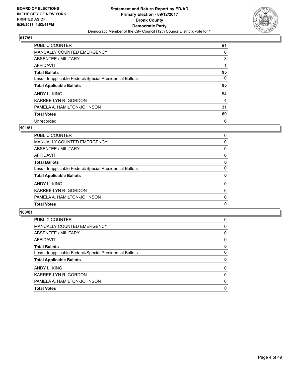

| <b>PUBLIC COUNTER</b>                                    | 91 |
|----------------------------------------------------------|----|
| <b>MANUALLY COUNTED EMERGENCY</b>                        | 0  |
| <b>ABSENTEE / MILITARY</b>                               | 3  |
| AFFIDAVIT                                                |    |
| <b>Total Ballots</b>                                     | 95 |
| Less - Inapplicable Federal/Special Presidential Ballots | 0  |
| <b>Total Applicable Ballots</b>                          | 95 |
| ANDY L. KING                                             | 54 |
| KARREE-LYN R. GORDON                                     | 4  |
| PAMELA A. HAMILTON-JOHNSON                               | 31 |
| <b>Total Votes</b>                                       | 89 |
| Unrecorded                                               | 6  |

#### **101/81**

| <b>PUBLIC COUNTER</b>                                    | 0        |
|----------------------------------------------------------|----------|
| <b>MANUALLY COUNTED EMERGENCY</b>                        | 0        |
| ABSENTEE / MILITARY                                      | 0        |
| AFFIDAVIT                                                | 0        |
| <b>Total Ballots</b>                                     | 0        |
| Less - Inapplicable Federal/Special Presidential Ballots | $\Omega$ |
| <b>Total Applicable Ballots</b>                          | 0        |
| ANDY L. KING                                             | 0        |
| KARREE-LYN R. GORDON                                     | 0        |
| PAMELA A. HAMILTON-JOHNSON                               | 0        |
| <b>Total Votes</b>                                       | 0        |
|                                                          |          |

| <b>Total Votes</b>                                       | 0 |
|----------------------------------------------------------|---|
| PAMELA A. HAMILTON-JOHNSON                               | 0 |
| KARREE-LYN R. GORDON                                     | 0 |
| ANDY L. KING                                             | 0 |
| <b>Total Applicable Ballots</b>                          | 0 |
| Less - Inapplicable Federal/Special Presidential Ballots | 0 |
| <b>Total Ballots</b>                                     | 0 |
| AFFIDAVIT                                                | 0 |
| ABSENTEE / MILITARY                                      | 0 |
| MANUALLY COUNTED EMERGENCY                               | 0 |
| <b>PUBLIC COUNTER</b>                                    | 0 |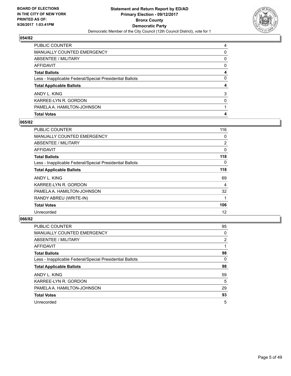![](_page_4_Picture_2.jpeg)

| <b>MANUALLY COUNTED EMERGENCY</b>                        | 0 |
|----------------------------------------------------------|---|
| <b>ABSENTEE / MILITARY</b>                               | 0 |
| AFFIDAVIT                                                | 0 |
| <b>Total Ballots</b>                                     | 4 |
| Less - Inapplicable Federal/Special Presidential Ballots | 0 |
| <b>Total Applicable Ballots</b>                          | 4 |
| ANDY L. KING                                             | 3 |
| KARREE-LYN R. GORDON                                     | 0 |
| PAMELA A. HAMILTON-JOHNSON                               |   |
| <b>Total Votes</b>                                       | 4 |

## **065/82**

| PUBLIC COUNTER                                           | 116            |
|----------------------------------------------------------|----------------|
| <b>MANUALLY COUNTED EMERGENCY</b>                        | 0              |
| ABSENTEE / MILITARY                                      | $\overline{2}$ |
| AFFIDAVIT                                                | 0              |
| <b>Total Ballots</b>                                     | 118            |
| Less - Inapplicable Federal/Special Presidential Ballots | 0              |
| <b>Total Applicable Ballots</b>                          | 118            |
| ANDY L. KING                                             | 69             |
| KARREE-LYN R. GORDON                                     | 4              |
| PAMELA A. HAMILTON-JOHNSON                               | 32             |
| RANDY ABREU (WRITE-IN)                                   | 1              |
| <b>Total Votes</b>                                       | 106            |
| Unrecorded                                               | 12             |

| <b>PUBLIC COUNTER</b>                                    | 95 |
|----------------------------------------------------------|----|
| <b>MANUALLY COUNTED EMERGENCY</b>                        | 0  |
| ABSENTEE / MILITARY                                      | 2  |
| <b>AFFIDAVIT</b>                                         |    |
| <b>Total Ballots</b>                                     | 98 |
| Less - Inapplicable Federal/Special Presidential Ballots | 0  |
| <b>Total Applicable Ballots</b>                          | 98 |
| ANDY L. KING                                             | 59 |
| KARREE-LYN R. GORDON                                     | 5  |
| PAMELA A. HAMILTON-JOHNSON                               | 29 |
| <b>Total Votes</b>                                       | 93 |
| Unrecorded                                               | 5  |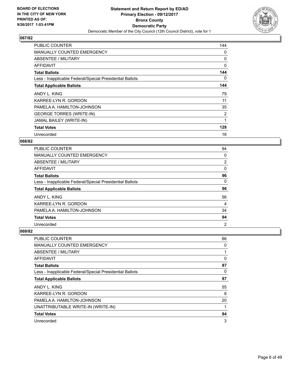![](_page_5_Picture_2.jpeg)

| <b>PUBLIC COUNTER</b>                                    | 144      |
|----------------------------------------------------------|----------|
| <b>MANUALLY COUNTED EMERGENCY</b>                        | 0        |
| ABSENTEE / MILITARY                                      | 0        |
| AFFIDAVIT                                                | $\Omega$ |
| <b>Total Ballots</b>                                     | 144      |
| Less - Inapplicable Federal/Special Presidential Ballots | 0        |
| <b>Total Applicable Ballots</b>                          | 144      |
| ANDY L. KING                                             | 79       |
| KARREE-LYN R. GORDON                                     | 11       |
| PAMELA A. HAMILTON-JOHNSON                               | 35       |
|                                                          |          |
| <b>GEORGE TORRES (WRITE-IN)</b>                          | 2        |
| JAMAL BAILEY (WRITE-IN)                                  | 1        |
| <b>Total Votes</b>                                       | 128      |

## **068/82**

| <b>PUBLIC COUNTER</b>                                    | 94             |
|----------------------------------------------------------|----------------|
| <b>MANUALLY COUNTED EMERGENCY</b>                        | 0              |
| ABSENTEE / MILITARY                                      | 2              |
| AFFIDAVIT                                                | 0              |
| <b>Total Ballots</b>                                     | 96             |
| Less - Inapplicable Federal/Special Presidential Ballots | 0              |
| <b>Total Applicable Ballots</b>                          | 96             |
| ANDY L. KING                                             | 56             |
| KARREE-LYN R. GORDON                                     | 4              |
| PAMELA A. HAMILTON-JOHNSON                               | 34             |
| <b>Total Votes</b>                                       | 94             |
| Unrecorded                                               | $\overline{2}$ |

| <b>PUBLIC COUNTER</b>                                    | 86 |
|----------------------------------------------------------|----|
| <b>MANUALLY COUNTED EMERGENCY</b>                        | 0  |
| ABSENTEE / MILITARY                                      | 1  |
| AFFIDAVIT                                                | 0  |
| <b>Total Ballots</b>                                     | 87 |
| Less - Inapplicable Federal/Special Presidential Ballots | 0  |
| <b>Total Applicable Ballots</b>                          | 87 |
| ANDY L. KING                                             | 55 |
| KARREE-LYN R. GORDON                                     | 8  |
| PAMELA A. HAMILTON-JOHNSON                               | 20 |
| UNATTRIBUTABLE WRITE-IN (WRITE-IN)                       | 1  |
| <b>Total Votes</b>                                       | 84 |
| Unrecorded                                               | 3  |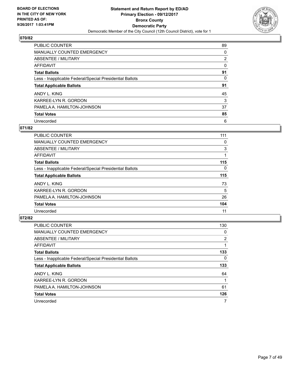![](_page_6_Picture_2.jpeg)

| <b>PUBLIC COUNTER</b>                                    | 89             |
|----------------------------------------------------------|----------------|
| <b>MANUALLY COUNTED EMERGENCY</b>                        | 0              |
| ABSENTEE / MILITARY                                      | $\overline{2}$ |
| AFFIDAVIT                                                | 0              |
| <b>Total Ballots</b>                                     | 91             |
| Less - Inapplicable Federal/Special Presidential Ballots | 0              |
| <b>Total Applicable Ballots</b>                          | 91             |
| ANDY L. KING                                             | 45             |
| KARREE-LYN R. GORDON                                     | 3              |
| PAMELA A. HAMILTON-JOHNSON                               | 37             |
| <b>Total Votes</b>                                       | 85             |
| Unrecorded                                               | 6              |

#### **071/82**

| <b>PUBLIC COUNTER</b>                                    | 111 |
|----------------------------------------------------------|-----|
| <b>MANUALLY COUNTED EMERGENCY</b>                        | 0   |
| ABSENTEE / MILITARY                                      | 3   |
| AFFIDAVIT                                                |     |
| <b>Total Ballots</b>                                     | 115 |
| Less - Inapplicable Federal/Special Presidential Ballots | 0   |
| <b>Total Applicable Ballots</b>                          | 115 |
| ANDY L. KING                                             | 73  |
| KARREE-LYN R. GORDON                                     | 5   |
| PAMELA A. HAMILTON-JOHNSON                               | 26  |
| <b>Total Votes</b>                                       | 104 |
| Unrecorded                                               | 11  |

| <b>PUBLIC COUNTER</b>                                    | 130            |
|----------------------------------------------------------|----------------|
| MANUALLY COUNTED EMERGENCY                               | 0              |
| ABSENTEE / MILITARY                                      | $\overline{2}$ |
| <b>AFFIDAVIT</b>                                         |                |
| <b>Total Ballots</b>                                     | 133            |
| Less - Inapplicable Federal/Special Presidential Ballots | 0              |
| <b>Total Applicable Ballots</b>                          | 133            |
| ANDY L. KING                                             | 64             |
| KARREE-LYN R. GORDON                                     |                |
| PAMELA A. HAMILTON-JOHNSON                               | 61             |
| <b>Total Votes</b>                                       | 126            |
| Unrecorded                                               |                |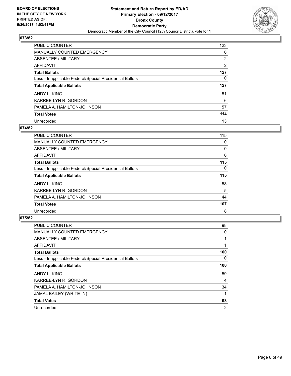![](_page_7_Picture_2.jpeg)

| PUBLIC COUNTER                                           | 123            |
|----------------------------------------------------------|----------------|
| <b>MANUALLY COUNTED EMERGENCY</b>                        | 0              |
| ABSENTEE / MILITARY                                      | $\overline{2}$ |
| AFFIDAVIT                                                | 2              |
| <b>Total Ballots</b>                                     | 127            |
| Less - Inapplicable Federal/Special Presidential Ballots | 0              |
| <b>Total Applicable Ballots</b>                          | 127            |
| ANDY L. KING                                             | 51             |
| KARREE-LYN R. GORDON                                     | 6              |
| PAMELA A. HAMILTON-JOHNSON                               | 57             |
| <b>Total Votes</b>                                       | 114            |
| Unrecorded                                               | 13             |

#### **074/82**

| <b>PUBLIC COUNTER</b>                                    | 115      |
|----------------------------------------------------------|----------|
| <b>MANUALLY COUNTED EMERGENCY</b>                        | 0        |
| ABSENTEE / MILITARY                                      | 0        |
| AFFIDAVIT                                                | 0        |
| <b>Total Ballots</b>                                     | 115      |
| Less - Inapplicable Federal/Special Presidential Ballots | $\Omega$ |
| <b>Total Applicable Ballots</b>                          | 115      |
| ANDY L. KING                                             | 58       |
| KARREE-LYN R. GORDON                                     | 5        |
| PAMELA A. HAMILTON-JOHNSON                               | 44       |
| <b>Total Votes</b>                                       | 107      |
| Unrecorded                                               | 8        |

| <b>PUBLIC COUNTER</b>                                    | 98             |
|----------------------------------------------------------|----------------|
| MANUALLY COUNTED EMERGENCY                               | 0              |
| ABSENTEE / MILITARY                                      |                |
| <b>AFFIDAVIT</b>                                         |                |
| <b>Total Ballots</b>                                     | 100            |
| Less - Inapplicable Federal/Special Presidential Ballots | 0              |
| <b>Total Applicable Ballots</b>                          | 100            |
| ANDY L. KING                                             | 59             |
| KARREE-LYN R. GORDON                                     | 4              |
| PAMELA A. HAMILTON-JOHNSON                               | 34             |
| JAMAL BAILEY (WRITE-IN)                                  |                |
| <b>Total Votes</b>                                       | 98             |
| Unrecorded                                               | $\overline{2}$ |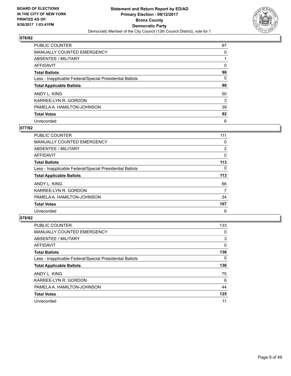![](_page_8_Picture_2.jpeg)

| PUBLIC COUNTER                                           | 97 |
|----------------------------------------------------------|----|
| <b>MANUALLY COUNTED EMERGENCY</b>                        | 0  |
| ABSENTEE / MILITARY                                      |    |
| AFFIDAVIT                                                | 0  |
| <b>Total Ballots</b>                                     | 98 |
| Less - Inapplicable Federal/Special Presidential Ballots | 0  |
| <b>Total Applicable Ballots</b>                          | 98 |
| ANDY L. KING                                             | 50 |
| KARREE-LYN R. GORDON                                     | 3  |
| PAMELA A. HAMILTON-JOHNSON                               | 39 |
| <b>Total Votes</b>                                       | 92 |
| Unrecorded                                               | 6  |

#### **077/82**

| <b>PUBLIC COUNTER</b>                                    | 111            |
|----------------------------------------------------------|----------------|
| <b>MANUALLY COUNTED EMERGENCY</b>                        | 0              |
| ABSENTEE / MILITARY                                      | $\overline{2}$ |
| <b>AFFIDAVIT</b>                                         | 0              |
| <b>Total Ballots</b>                                     | 113            |
| Less - Inapplicable Federal/Special Presidential Ballots | 0              |
| <b>Total Applicable Ballots</b>                          | 113            |
| ANDY L. KING                                             | 66             |
| KARREE-LYN R. GORDON                                     | 7              |
| PAMELA A. HAMILTON-JOHNSON                               | 34             |
| <b>Total Votes</b>                                       | 107            |
| Unrecorded                                               | 6              |

| <b>PUBLIC COUNTER</b>                                    | 133      |
|----------------------------------------------------------|----------|
| MANUALLY COUNTED EMERGENCY                               | 0        |
| ABSENTEE / MILITARY                                      | 3        |
| <b>AFFIDAVIT</b>                                         | $\Omega$ |
| <b>Total Ballots</b>                                     | 136      |
| Less - Inapplicable Federal/Special Presidential Ballots | 0        |
| <b>Total Applicable Ballots</b>                          | 136      |
| ANDY L. KING                                             | 75       |
| KARREE-LYN R. GORDON                                     | 6        |
| PAMELA A. HAMILTON-JOHNSON                               | 44       |
| <b>Total Votes</b>                                       | 125      |
| Unrecorded                                               | 11       |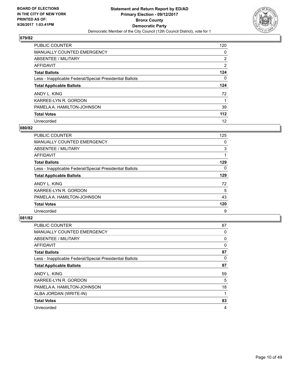![](_page_9_Picture_2.jpeg)

| PUBLIC COUNTER                                           | 120            |
|----------------------------------------------------------|----------------|
| <b>MANUALLY COUNTED EMERGENCY</b>                        | 0              |
| ABSENTEE / MILITARY                                      | $\overline{2}$ |
| AFFIDAVIT                                                | $\overline{2}$ |
| <b>Total Ballots</b>                                     | 124            |
| Less - Inapplicable Federal/Special Presidential Ballots | 0              |
| <b>Total Applicable Ballots</b>                          | 124            |
| ANDY L. KING                                             | 72             |
| KARREE-LYN R. GORDON                                     |                |
| PAMELA A. HAMILTON-JOHNSON                               | 39             |
| <b>Total Votes</b>                                       | 112            |
| Unrecorded                                               | 12             |

#### **080/82**

| PUBLIC COUNTER                                           | 125 |
|----------------------------------------------------------|-----|
| <b>MANUALLY COUNTED EMERGENCY</b>                        | 0   |
| ABSENTEE / MILITARY                                      | 3   |
| <b>AFFIDAVIT</b>                                         |     |
| <b>Total Ballots</b>                                     | 129 |
| Less - Inapplicable Federal/Special Presidential Ballots | 0   |
| <b>Total Applicable Ballots</b>                          | 129 |
| ANDY L. KING                                             | 72  |
| KARREE-LYN R. GORDON                                     | 5   |
| PAMELA A. HAMILTON-JOHNSON                               | 43  |
| <b>Total Votes</b>                                       | 120 |
| Unrecorded                                               | 9   |

| <b>PUBLIC COUNTER</b>                                    | 87 |
|----------------------------------------------------------|----|
| <b>MANUALLY COUNTED EMERGENCY</b>                        | 0  |
| ABSENTEE / MILITARY                                      | 0  |
| AFFIDAVIT                                                | 0  |
| <b>Total Ballots</b>                                     | 87 |
| Less - Inapplicable Federal/Special Presidential Ballots | 0  |
| <b>Total Applicable Ballots</b>                          | 87 |
| ANDY L. KING                                             | 59 |
| KARREE-LYN R. GORDON                                     | 5  |
| PAMELA A. HAMILTON-JOHNSON                               | 18 |
| ALBA JORDAN (WRITE-IN)                                   |    |
| <b>Total Votes</b>                                       | 83 |
| Unrecorded                                               | 4  |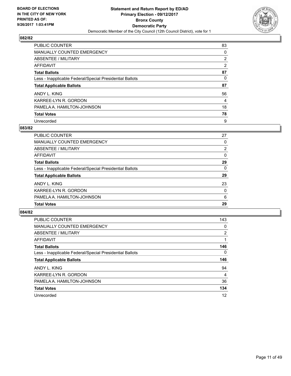![](_page_10_Picture_2.jpeg)

| PUBLIC COUNTER                                           | 83 |
|----------------------------------------------------------|----|
| <b>MANUALLY COUNTED EMERGENCY</b>                        | 0  |
| ABSENTEE / MILITARY                                      | 2  |
| AFFIDAVIT                                                | 2  |
| <b>Total Ballots</b>                                     | 87 |
| Less - Inapplicable Federal/Special Presidential Ballots | 0  |
| <b>Total Applicable Ballots</b>                          | 87 |
| ANDY L. KING                                             | 56 |
| KARREE-LYN R. GORDON                                     | 4  |
| PAMELA A. HAMILTON-JOHNSON                               | 18 |
| <b>Total Votes</b>                                       | 78 |
| Unrecorded                                               | 9  |

#### **083/82**

| PUBLIC COUNTER                                           | 27             |
|----------------------------------------------------------|----------------|
| MANUALLY COUNTED EMERGENCY                               | 0              |
| ABSENTEE / MILITARY                                      | $\overline{2}$ |
| AFFIDAVIT                                                | $\Omega$       |
| <b>Total Ballots</b>                                     | 29             |
| Less - Inapplicable Federal/Special Presidential Ballots | $\Omega$       |
| <b>Total Applicable Ballots</b>                          | 29             |
| ANDY L. KING                                             | 23             |
| KARREE-LYN R. GORDON                                     | $\Omega$       |
| PAMELA A. HAMILTON-JOHNSON                               | 6              |
| <b>Total Votes</b>                                       | 29             |

| <b>PUBLIC COUNTER</b>                                    | 143 |
|----------------------------------------------------------|-----|
| <b>MANUALLY COUNTED EMERGENCY</b>                        | 0   |
| ABSENTEE / MILITARY                                      | 2   |
| <b>AFFIDAVIT</b>                                         |     |
| <b>Total Ballots</b>                                     | 146 |
| Less - Inapplicable Federal/Special Presidential Ballots | 0   |
| <b>Total Applicable Ballots</b>                          | 146 |
| ANDY L. KING                                             | 94  |
| KARREE-LYN R. GORDON                                     | 4   |
| PAMELA A. HAMILTON-JOHNSON                               | 36  |
| <b>Total Votes</b>                                       | 134 |
| Unrecorded                                               | 12  |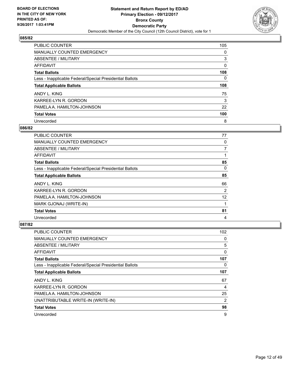![](_page_11_Picture_2.jpeg)

| PUBLIC COUNTER                                           | 105 |
|----------------------------------------------------------|-----|
| <b>MANUALLY COUNTED EMERGENCY</b>                        | 0   |
| ABSENTEE / MILITARY                                      | 3   |
| AFFIDAVIT                                                | 0   |
| <b>Total Ballots</b>                                     | 108 |
| Less - Inapplicable Federal/Special Presidential Ballots | 0   |
| <b>Total Applicable Ballots</b>                          | 108 |
| ANDY L. KING                                             | 75  |
| KARREE-LYN R. GORDON                                     | 3   |
| PAMELA A. HAMILTON-JOHNSON                               | 22  |
| <b>Total Votes</b>                                       | 100 |
| Unrecorded                                               | 8   |

#### **086/82**

| <b>PUBLIC COUNTER</b>                                    | 77 |
|----------------------------------------------------------|----|
| <b>MANUALLY COUNTED EMERGENCY</b>                        | 0  |
| ABSENTEE / MILITARY                                      | 7  |
| AFFIDAVIT                                                |    |
| <b>Total Ballots</b>                                     | 85 |
| Less - Inapplicable Federal/Special Presidential Ballots | 0  |
| <b>Total Applicable Ballots</b>                          | 85 |
| ANDY L. KING                                             | 66 |
| KARREE-LYN R. GORDON                                     | 2  |
| PAMELA A. HAMILTON-JOHNSON                               | 12 |
| MARK GJONAJ (WRITE-IN)                                   |    |
| <b>Total Votes</b>                                       | 81 |
| Unrecorded                                               | 4  |

| <b>PUBLIC COUNTER</b>                                    | 102            |
|----------------------------------------------------------|----------------|
| MANUALLY COUNTED EMERGENCY                               | 0              |
| ABSENTEE / MILITARY                                      | 5              |
| AFFIDAVIT                                                | 0              |
| <b>Total Ballots</b>                                     | 107            |
| Less - Inapplicable Federal/Special Presidential Ballots | 0              |
| <b>Total Applicable Ballots</b>                          | 107            |
| ANDY L. KING                                             | 67             |
| KARREE-LYN R. GORDON                                     | $\overline{4}$ |
| PAMELA A. HAMILTON-JOHNSON                               | 25             |
| UNATTRIBUTABLE WRITE-IN (WRITE-IN)                       | $\overline{2}$ |
| <b>Total Votes</b>                                       | 98             |
| Unrecorded                                               | 9              |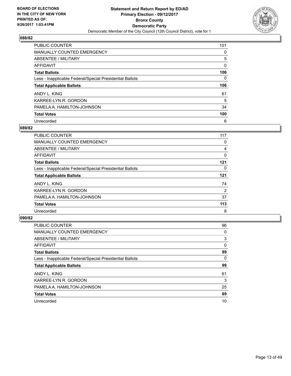![](_page_12_Picture_2.jpeg)

| <b>PUBLIC COUNTER</b>                                    | 101 |
|----------------------------------------------------------|-----|
| <b>MANUALLY COUNTED EMERGENCY</b>                        | 0   |
| ABSENTEE / MILITARY                                      | 5   |
| AFFIDAVIT                                                | 0   |
| <b>Total Ballots</b>                                     | 106 |
| Less - Inapplicable Federal/Special Presidential Ballots | 0   |
| <b>Total Applicable Ballots</b>                          | 106 |
| ANDY L. KING                                             | 61  |
| KARREE-LYN R. GORDON                                     | 5   |
| PAMELA A. HAMILTON-JOHNSON                               | 34  |
| <b>Total Votes</b>                                       | 100 |
| Unrecorded                                               | 6   |

#### **089/82**

| <b>PUBLIC COUNTER</b>                                    | 117            |
|----------------------------------------------------------|----------------|
| <b>MANUALLY COUNTED EMERGENCY</b>                        | 0              |
| ABSENTEE / MILITARY                                      | 4              |
| <b>AFFIDAVIT</b>                                         | 0              |
| <b>Total Ballots</b>                                     | 121            |
| Less - Inapplicable Federal/Special Presidential Ballots | 0              |
| <b>Total Applicable Ballots</b>                          | 121            |
| ANDY L. KING                                             | 74             |
| KARREE-LYN R. GORDON                                     | $\overline{2}$ |
| PAMELA A. HAMILTON-JOHNSON                               | 37             |
| <b>Total Votes</b>                                       | 113            |
| Unrecorded                                               | 8              |

| <b>PUBLIC COUNTER</b>                                    | 96 |
|----------------------------------------------------------|----|
| <b>MANUALLY COUNTED EMERGENCY</b>                        | 0  |
| ABSENTEE / MILITARY                                      | 3  |
| <b>AFFIDAVIT</b>                                         | 0  |
| <b>Total Ballots</b>                                     | 99 |
| Less - Inapplicable Federal/Special Presidential Ballots | 0  |
| <b>Total Applicable Ballots</b>                          | 99 |
| ANDY L. KING                                             | 61 |
| KARREE-LYN R. GORDON                                     | 3  |
| PAMELA A. HAMILTON-JOHNSON                               | 25 |
| <b>Total Votes</b>                                       | 89 |
| Unrecorded                                               | 10 |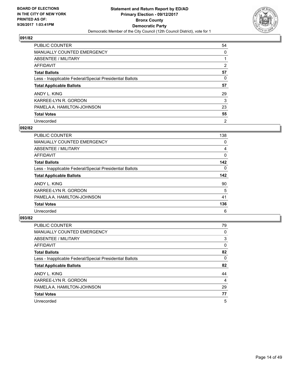![](_page_13_Picture_2.jpeg)

| PUBLIC COUNTER                                           | 54             |
|----------------------------------------------------------|----------------|
| <b>MANUALLY COUNTED EMERGENCY</b>                        | 0              |
| ABSENTEE / MILITARY                                      |                |
| AFFIDAVIT                                                | 2              |
| <b>Total Ballots</b>                                     | 57             |
| Less - Inapplicable Federal/Special Presidential Ballots | 0              |
| <b>Total Applicable Ballots</b>                          | 57             |
| ANDY L. KING                                             | 29             |
| KARREE-LYN R. GORDON                                     | 3              |
| PAMELA A. HAMILTON-JOHNSON                               | 23             |
| <b>Total Votes</b>                                       | 55             |
| Unrecorded                                               | $\overline{2}$ |

#### **092/82**

| <b>PUBLIC COUNTER</b>                                    | 138 |
|----------------------------------------------------------|-----|
| <b>MANUALLY COUNTED EMERGENCY</b>                        | 0   |
| ABSENTEE / MILITARY                                      | 4   |
| <b>AFFIDAVIT</b>                                         | 0   |
| <b>Total Ballots</b>                                     | 142 |
| Less - Inapplicable Federal/Special Presidential Ballots | 0   |
| <b>Total Applicable Ballots</b>                          | 142 |
| ANDY L. KING                                             | 90  |
| KARREE-LYN R. GORDON                                     | 5   |
| PAMELA A. HAMILTON-JOHNSON                               | 41  |
| <b>Total Votes</b>                                       | 136 |
| Unrecorded                                               | 6   |

| <b>PUBLIC COUNTER</b>                                    | 79 |
|----------------------------------------------------------|----|
| <b>MANUALLY COUNTED EMERGENCY</b>                        | 0  |
| ABSENTEE / MILITARY                                      | 3  |
| AFFIDAVIT                                                | 0  |
| <b>Total Ballots</b>                                     | 82 |
| Less - Inapplicable Federal/Special Presidential Ballots | 0  |
| <b>Total Applicable Ballots</b>                          | 82 |
| ANDY L. KING                                             | 44 |
| KARREE-LYN R. GORDON                                     | 4  |
| PAMELA A. HAMILTON-JOHNSON                               | 29 |
| <b>Total Votes</b>                                       | 77 |
| Unrecorded                                               | 5  |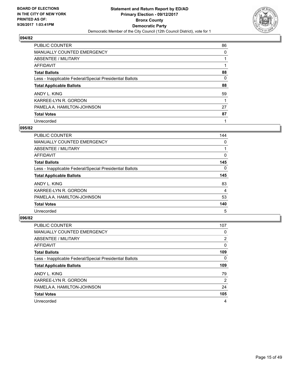![](_page_14_Picture_2.jpeg)

| PUBLIC COUNTER                                           | 86 |
|----------------------------------------------------------|----|
| <b>MANUALLY COUNTED EMERGENCY</b>                        | 0  |
| ABSENTEE / MILITARY                                      |    |
| AFFIDAVIT                                                |    |
| <b>Total Ballots</b>                                     | 88 |
| Less - Inapplicable Federal/Special Presidential Ballots | 0  |
| <b>Total Applicable Ballots</b>                          | 88 |
| ANDY L. KING                                             | 59 |
| KARREE-LYN R. GORDON                                     |    |
| PAMELA A. HAMILTON-JOHNSON                               | 27 |
| <b>Total Votes</b>                                       | 87 |
| Unrecorded                                               |    |

#### **095/82**

| <b>PUBLIC COUNTER</b>                                    | 144 |
|----------------------------------------------------------|-----|
| <b>MANUALLY COUNTED EMERGENCY</b>                        | 0   |
| ABSENTEE / MILITARY                                      |     |
| AFFIDAVIT                                                | 0   |
| <b>Total Ballots</b>                                     | 145 |
| Less - Inapplicable Federal/Special Presidential Ballots | 0   |
| <b>Total Applicable Ballots</b>                          | 145 |
| ANDY L. KING                                             | 83  |
| KARREE-LYN R. GORDON                                     | 4   |
| PAMELA A. HAMILTON-JOHNSON                               | 53  |
| <b>Total Votes</b>                                       | 140 |
| Unrecorded                                               | 5   |

| <b>PUBLIC COUNTER</b>                                    | 107 |
|----------------------------------------------------------|-----|
| <b>MANUALLY COUNTED EMERGENCY</b>                        | 0   |
| ABSENTEE / MILITARY                                      | 2   |
| <b>AFFIDAVIT</b>                                         | 0   |
| <b>Total Ballots</b>                                     | 109 |
| Less - Inapplicable Federal/Special Presidential Ballots | 0   |
| <b>Total Applicable Ballots</b>                          | 109 |
| ANDY L. KING                                             | 79  |
| KARREE-LYN R. GORDON                                     | 2   |
| PAMELA A. HAMILTON-JOHNSON                               | 24  |
| <b>Total Votes</b>                                       | 105 |
| Unrecorded                                               | 4   |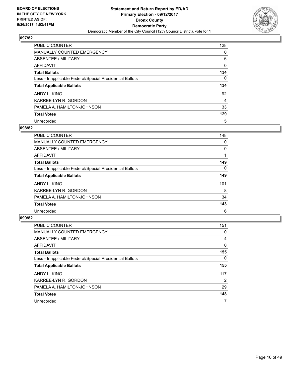![](_page_15_Picture_2.jpeg)

| <b>PUBLIC COUNTER</b>                                    | 128 |
|----------------------------------------------------------|-----|
| <b>MANUALLY COUNTED EMERGENCY</b>                        | 0   |
| ABSENTEE / MILITARY                                      | 6   |
| AFFIDAVIT                                                | 0   |
| <b>Total Ballots</b>                                     | 134 |
| Less - Inapplicable Federal/Special Presidential Ballots | 0   |
| <b>Total Applicable Ballots</b>                          | 134 |
| ANDY L. KING                                             | 92  |
| KARREE-LYN R. GORDON                                     | 4   |
| PAMELA A. HAMILTON-JOHNSON                               | 33  |
| <b>Total Votes</b>                                       | 129 |
| Unrecorded                                               | 5   |

#### **098/82**

| <b>PUBLIC COUNTER</b>                                    | 148 |
|----------------------------------------------------------|-----|
| MANUALLY COUNTED EMERGENCY                               | 0   |
| ABSENTEE / MILITARY                                      | 0   |
| AFFIDAVIT                                                |     |
| <b>Total Ballots</b>                                     | 149 |
| Less - Inapplicable Federal/Special Presidential Ballots | 0   |
| <b>Total Applicable Ballots</b>                          | 149 |
| ANDY L. KING                                             | 101 |
| KARREE-LYN R. GORDON                                     | 8   |
| PAMELA A. HAMILTON-JOHNSON                               | 34  |
| <b>Total Votes</b>                                       | 143 |
| Unrecorded                                               | 6   |

| <b>PUBLIC COUNTER</b>                                    | 151 |
|----------------------------------------------------------|-----|
| MANUALLY COUNTED EMERGENCY                               | 0   |
| ABSENTEE / MILITARY                                      | 4   |
| <b>AFFIDAVIT</b>                                         | 0   |
| <b>Total Ballots</b>                                     | 155 |
| Less - Inapplicable Federal/Special Presidential Ballots | 0   |
| <b>Total Applicable Ballots</b>                          | 155 |
| ANDY L. KING                                             | 117 |
| KARREE-LYN R. GORDON                                     | 2   |
| PAMELA A. HAMILTON-JOHNSON                               | 29  |
| <b>Total Votes</b>                                       | 148 |
| Unrecorded                                               | 7   |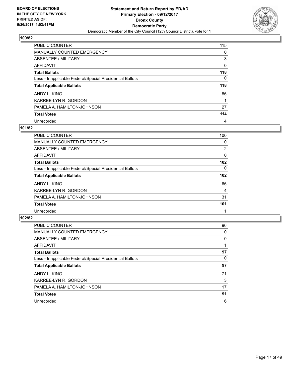![](_page_16_Picture_2.jpeg)

| PUBLIC COUNTER                                           | 115 |
|----------------------------------------------------------|-----|
| <b>MANUALLY COUNTED EMERGENCY</b>                        | 0   |
| ABSENTEE / MILITARY                                      | 3   |
| AFFIDAVIT                                                | 0   |
| <b>Total Ballots</b>                                     | 118 |
| Less - Inapplicable Federal/Special Presidential Ballots | 0   |
| <b>Total Applicable Ballots</b>                          | 118 |
| ANDY L. KING                                             | 86  |
| KARREE-LYN R. GORDON                                     |     |
| PAMELA A. HAMILTON-JOHNSON                               | 27  |
| <b>Total Votes</b>                                       | 114 |
| Unrecorded                                               | 4   |

#### **101/82**

| PUBLIC COUNTER                                           | 100            |
|----------------------------------------------------------|----------------|
| <b>MANUALLY COUNTED EMERGENCY</b>                        | 0              |
| ABSENTEE / MILITARY                                      | $\overline{2}$ |
| <b>AFFIDAVIT</b>                                         | 0              |
| <b>Total Ballots</b>                                     | 102            |
| Less - Inapplicable Federal/Special Presidential Ballots | $\Omega$       |
| <b>Total Applicable Ballots</b>                          | 102            |
| ANDY L. KING                                             | 66             |
| KARREE-LYN R. GORDON                                     | 4              |
| PAMELA A. HAMILTON-JOHNSON                               | 31             |
| <b>Total Votes</b>                                       | 101            |
| Unrecorded                                               |                |

| <b>PUBLIC COUNTER</b>                                    | 96 |
|----------------------------------------------------------|----|
| <b>MANUALLY COUNTED EMERGENCY</b>                        | 0  |
| ABSENTEE / MILITARY                                      | 0  |
| AFFIDAVIT                                                |    |
| <b>Total Ballots</b>                                     | 97 |
| Less - Inapplicable Federal/Special Presidential Ballots | 0  |
| <b>Total Applicable Ballots</b>                          | 97 |
| ANDY L. KING                                             | 71 |
| KARREE-LYN R. GORDON                                     | 3  |
| PAMELA A. HAMILTON-JOHNSON                               | 17 |
| <b>Total Votes</b>                                       | 91 |
| Unrecorded                                               | 6  |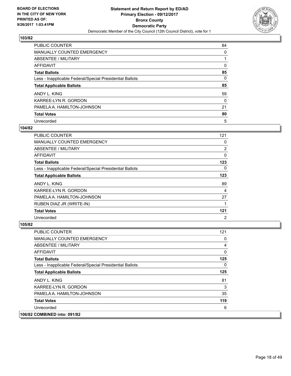![](_page_17_Picture_2.jpeg)

| PUBLIC COUNTER                                           | 84       |
|----------------------------------------------------------|----------|
| <b>MANUALLY COUNTED EMERGENCY</b>                        | 0        |
| ABSENTEE / MILITARY                                      |          |
| AFFIDAVIT                                                | 0        |
| <b>Total Ballots</b>                                     | 85       |
| Less - Inapplicable Federal/Special Presidential Ballots | 0        |
| <b>Total Applicable Ballots</b>                          | 85       |
| ANDY L. KING                                             | 59       |
| KARREE-LYN R. GORDON                                     | $\Omega$ |
| PAMELA A. HAMILTON-JOHNSON                               | 21       |
| <b>Total Votes</b>                                       | 80       |
| Unrecorded                                               | 5        |

#### **104/82**

| <b>PUBLIC COUNTER</b>                                    | 121 |
|----------------------------------------------------------|-----|
| <b>MANUALLY COUNTED EMERGENCY</b>                        | 0   |
| ABSENTEE / MILITARY                                      | 2   |
| AFFIDAVIT                                                | 0   |
| <b>Total Ballots</b>                                     | 123 |
| Less - Inapplicable Federal/Special Presidential Ballots | 0   |
| <b>Total Applicable Ballots</b>                          | 123 |
| ANDY L. KING                                             | 89  |
| KARREE-LYN R. GORDON                                     | 4   |
| PAMELA A. HAMILTON-JOHNSON                               | 27  |
| RUBEN DIAZ JR (WRITE-IN)                                 |     |
| <b>Total Votes</b>                                       | 121 |
| Unrecorded                                               | 2   |

| <b>PUBLIC COUNTER</b>                                    | 121 |
|----------------------------------------------------------|-----|
| <b>MANUALLY COUNTED EMERGENCY</b>                        | 0   |
| ABSENTEE / MILITARY                                      | 4   |
| AFFIDAVIT                                                | 0   |
| <b>Total Ballots</b>                                     | 125 |
| Less - Inapplicable Federal/Special Presidential Ballots | 0   |
| <b>Total Applicable Ballots</b>                          | 125 |
| ANDY L. KING                                             | 81  |
| KARREE-LYN R. GORDON                                     | 3   |
| PAMELA A. HAMILTON-JOHNSON                               | 35  |
| <b>Total Votes</b>                                       | 119 |
| Unrecorded                                               | 6   |
| 106/82 COMBINED into: 091/82                             |     |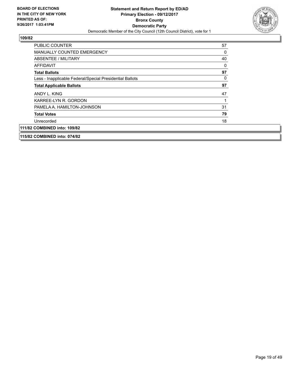![](_page_18_Picture_2.jpeg)

| <b>PUBLIC COUNTER</b>                                    | 57 |
|----------------------------------------------------------|----|
| <b>MANUALLY COUNTED EMERGENCY</b>                        | 0  |
| ABSENTEE / MILITARY                                      | 40 |
| <b>AFFIDAVIT</b>                                         | 0  |
| <b>Total Ballots</b>                                     | 97 |
| Less - Inapplicable Federal/Special Presidential Ballots | 0  |
| <b>Total Applicable Ballots</b>                          | 97 |
| ANDY L. KING                                             | 47 |
| KARREE-LYN R. GORDON                                     | 1  |
| PAMELA A. HAMILTON-JOHNSON                               | 31 |
| <b>Total Votes</b>                                       | 79 |
| Unrecorded                                               | 18 |
| 111/82 COMBINED into: 109/82                             |    |
| 115/82 COMBINED into: 074/82                             |    |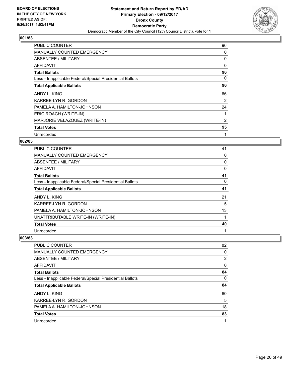![](_page_19_Picture_2.jpeg)

| <b>PUBLIC COUNTER</b>                                    | 96       |
|----------------------------------------------------------|----------|
| <b>MANUALLY COUNTED EMERGENCY</b>                        | 0        |
| ABSENTEE / MILITARY                                      | 0        |
| AFFIDAVIT                                                | $\Omega$ |
| <b>Total Ballots</b>                                     | 96       |
| Less - Inapplicable Federal/Special Presidential Ballots | 0        |
| <b>Total Applicable Ballots</b>                          | 96       |
| ANDY L. KING                                             | 66       |
| KARREE-LYN R. GORDON                                     | 2        |
| PAMELA A. HAMILTON-JOHNSON                               | 24       |
| ERIC ROACH (WRITE-IN)                                    |          |
| MARJORIE VELAZQUEZ (WRITE-IN)                            | 2        |
|                                                          |          |
| <b>Total Votes</b>                                       | 95       |

## **002/83**

| PUBLIC COUNTER                                           | 41 |
|----------------------------------------------------------|----|
| <b>MANUALLY COUNTED EMERGENCY</b>                        | 0  |
| ABSENTEE / MILITARY                                      | 0  |
| AFFIDAVIT                                                | 0  |
| <b>Total Ballots</b>                                     | 41 |
| Less - Inapplicable Federal/Special Presidential Ballots | 0  |
| <b>Total Applicable Ballots</b>                          | 41 |
| ANDY L. KING                                             | 21 |
| KARREE-LYN R. GORDON                                     | 5  |
| PAMELA A. HAMILTON-JOHNSON                               | 13 |
| UNATTRIBUTABLE WRITE-IN (WRITE-IN)                       | 1  |
| <b>Total Votes</b>                                       | 40 |
| Unrecorded                                               | 1  |

| PUBLIC COUNTER                                           | 82             |
|----------------------------------------------------------|----------------|
| <b>MANUALLY COUNTED EMERGENCY</b>                        | 0              |
| ABSENTEE / MILITARY                                      | $\overline{2}$ |
| AFFIDAVIT                                                | 0              |
| <b>Total Ballots</b>                                     | 84             |
| Less - Inapplicable Federal/Special Presidential Ballots | 0              |
| <b>Total Applicable Ballots</b>                          | 84             |
| ANDY L. KING                                             | 60             |
| KARREE-LYN R. GORDON                                     | 5              |
| PAMELA A. HAMILTON-JOHNSON                               | 18             |
| <b>Total Votes</b>                                       | 83             |
| Unrecorded                                               | 1              |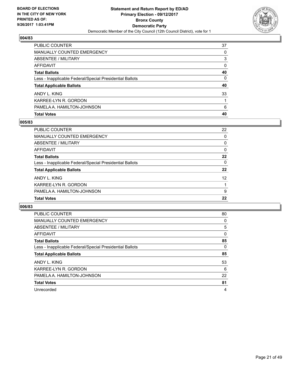![](_page_20_Picture_2.jpeg)

| PUBLIC COUNTER                                           | 37       |
|----------------------------------------------------------|----------|
| <b>MANUALLY COUNTED EMERGENCY</b>                        | 0        |
| <b>ABSENTEE / MILITARY</b>                               | 3        |
| AFFIDAVIT                                                | $\Omega$ |
| <b>Total Ballots</b>                                     | 40       |
| Less - Inapplicable Federal/Special Presidential Ballots | 0        |
| <b>Total Applicable Ballots</b>                          | 40       |
| ANDY L. KING                                             | 33       |
| KARREE-LYN R. GORDON                                     |          |
| PAMELA A. HAMILTON-JOHNSON                               | 6        |
| <b>Total Votes</b>                                       | 40       |

## **005/83**

| <b>PUBLIC COUNTER</b>                                    | 22 |
|----------------------------------------------------------|----|
| <b>MANUALLY COUNTED EMERGENCY</b>                        | 0  |
| ABSENTEE / MILITARY                                      | 0  |
| <b>AFFIDAVIT</b>                                         | 0  |
| <b>Total Ballots</b>                                     | 22 |
| Less - Inapplicable Federal/Special Presidential Ballots | 0  |
| <b>Total Applicable Ballots</b>                          | 22 |
| ANDY L. KING                                             | 12 |
| KARREE-LYN R. GORDON                                     | 1  |
| PAMELA A. HAMILTON-JOHNSON                               | 9  |
| <b>Total Votes</b>                                       | 22 |
|                                                          |    |

| <b>PUBLIC COUNTER</b>                                    | 80 |
|----------------------------------------------------------|----|
| <b>MANUALLY COUNTED EMERGENCY</b>                        | 0  |
| ABSENTEE / MILITARY                                      | 5  |
| AFFIDAVIT                                                | 0  |
| <b>Total Ballots</b>                                     | 85 |
| Less - Inapplicable Federal/Special Presidential Ballots | 0  |
| <b>Total Applicable Ballots</b>                          | 85 |
| ANDY L. KING                                             | 53 |
| KARREE-LYN R. GORDON                                     | 6  |
| PAMELA A. HAMILTON-JOHNSON                               | 22 |
| <b>Total Votes</b>                                       | 81 |
| Unrecorded                                               | 4  |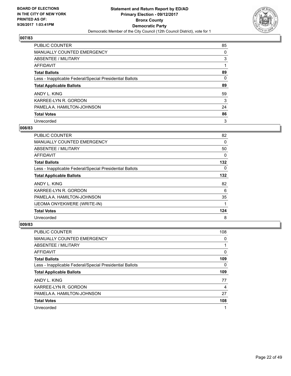![](_page_21_Picture_2.jpeg)

| <b>PUBLIC COUNTER</b>                                    | 85 |
|----------------------------------------------------------|----|
| MANUALLY COUNTED EMERGENCY                               | 0  |
| ABSENTEE / MILITARY                                      | 3  |
| <b>AFFIDAVIT</b>                                         |    |
| <b>Total Ballots</b>                                     | 89 |
| Less - Inapplicable Federal/Special Presidential Ballots | 0  |
| <b>Total Applicable Ballots</b>                          | 89 |
| ANDY L. KING                                             | 59 |
| KARREE-LYN R. GORDON                                     | 3  |
| PAMELA A. HAMILTON-JOHNSON                               | 24 |
| <b>Total Votes</b>                                       | 86 |
| Unrecorded                                               | 3  |

#### **008/83**

| <b>PUBLIC COUNTER</b>                                    | 82       |
|----------------------------------------------------------|----------|
| <b>MANUALLY COUNTED EMERGENCY</b>                        | 0        |
| ABSENTEE / MILITARY                                      | 50       |
| AFFIDAVIT                                                | 0        |
| <b>Total Ballots</b>                                     | 132      |
| Less - Inapplicable Federal/Special Presidential Ballots | $\Omega$ |
| <b>Total Applicable Ballots</b>                          | 132      |
| ANDY L. KING                                             | 82       |
| KARREE-LYN R. GORDON                                     | 6        |
| PAMELA A. HAMILTON-JOHNSON                               | 35       |
| <b>IJEOMA ONYEKWERE (WRITE-IN)</b>                       | 1        |
| <b>Total Votes</b>                                       | 124      |
| Unrecorded                                               | 8        |

| <b>PUBLIC COUNTER</b>                                    | 108 |
|----------------------------------------------------------|-----|
| <b>MANUALLY COUNTED EMERGENCY</b>                        | 0   |
| ABSENTEE / MILITARY                                      |     |
| AFFIDAVIT                                                | 0   |
| <b>Total Ballots</b>                                     | 109 |
| Less - Inapplicable Federal/Special Presidential Ballots | 0   |
| <b>Total Applicable Ballots</b>                          | 109 |
| ANDY L. KING                                             | 77  |
| KARREE-LYN R. GORDON                                     | 4   |
|                                                          |     |
| PAMELA A. HAMILTON-JOHNSON                               | 27  |
| <b>Total Votes</b>                                       | 108 |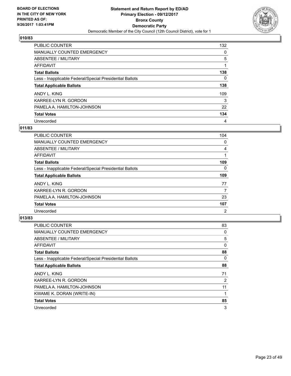![](_page_22_Picture_2.jpeg)

| PUBLIC COUNTER                                           | 132 |
|----------------------------------------------------------|-----|
| <b>MANUALLY COUNTED EMERGENCY</b>                        | 0   |
| ABSENTEE / MILITARY                                      | 5   |
| AFFIDAVIT                                                |     |
| <b>Total Ballots</b>                                     | 138 |
| Less - Inapplicable Federal/Special Presidential Ballots | 0   |
| <b>Total Applicable Ballots</b>                          | 138 |
| ANDY L. KING                                             | 109 |
| KARREE-LYN R. GORDON                                     | 3   |
| PAMELA A. HAMILTON-JOHNSON                               | 22  |
| <b>Total Votes</b>                                       | 134 |
| Unrecorded                                               | 4   |

#### **011/83**

| <b>PUBLIC COUNTER</b>                                    | 104            |
|----------------------------------------------------------|----------------|
| <b>MANUALLY COUNTED EMERGENCY</b>                        | 0              |
| ABSENTEE / MILITARY                                      | 4              |
| <b>AFFIDAVIT</b>                                         |                |
| <b>Total Ballots</b>                                     | 109            |
| Less - Inapplicable Federal/Special Presidential Ballots | 0              |
| <b>Total Applicable Ballots</b>                          | 109            |
| ANDY L. KING                                             | 77             |
| KARREE-LYN R. GORDON                                     | 7              |
| PAMELA A. HAMILTON-JOHNSON                               | 23             |
| <b>Total Votes</b>                                       | 107            |
| Unrecorded                                               | $\overline{2}$ |

| <b>PUBLIC COUNTER</b>                                    | 83 |
|----------------------------------------------------------|----|
| MANUALLY COUNTED EMERGENCY                               | 0  |
| ABSENTEE / MILITARY                                      | 5  |
| <b>AFFIDAVIT</b>                                         | 0  |
| <b>Total Ballots</b>                                     | 88 |
| Less - Inapplicable Federal/Special Presidential Ballots | 0  |
| <b>Total Applicable Ballots</b>                          | 88 |
| ANDY L. KING                                             | 71 |
| KARREE-LYN R. GORDON                                     | 2  |
| PAMELA A. HAMILTON-JOHNSON                               | 11 |
| KWAME K. DORAN (WRITE-IN)                                |    |
| <b>Total Votes</b>                                       | 85 |
| Unrecorded                                               | 3  |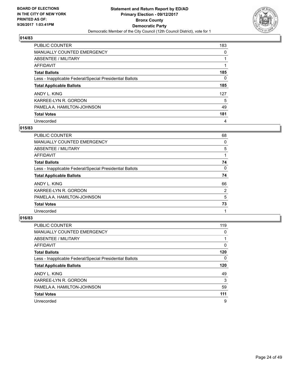![](_page_23_Picture_2.jpeg)

| PUBLIC COUNTER                                           | 183 |
|----------------------------------------------------------|-----|
| <b>MANUALLY COUNTED EMERGENCY</b>                        | 0   |
| ABSENTEE / MILITARY                                      |     |
| AFFIDAVIT                                                |     |
| <b>Total Ballots</b>                                     | 185 |
| Less - Inapplicable Federal/Special Presidential Ballots | 0   |
| <b>Total Applicable Ballots</b>                          | 185 |
| ANDY L. KING                                             | 127 |
| KARREE-LYN R. GORDON                                     | 5   |
| PAMELA A. HAMILTON-JOHNSON                               | 49  |
| <b>Total Votes</b>                                       | 181 |
| Unrecorded                                               | 4   |

#### **015/83**

| <b>PUBLIC COUNTER</b>                                    | 68             |
|----------------------------------------------------------|----------------|
| <b>MANUALLY COUNTED EMERGENCY</b>                        | 0              |
| ABSENTEE / MILITARY                                      | 5              |
| <b>AFFIDAVIT</b>                                         |                |
| <b>Total Ballots</b>                                     | 74             |
| Less - Inapplicable Federal/Special Presidential Ballots | 0              |
| <b>Total Applicable Ballots</b>                          | 74             |
| ANDY L. KING                                             | 66             |
| KARREE-LYN R. GORDON                                     | $\overline{2}$ |
| PAMELA A. HAMILTON-JOHNSON                               | 5              |
| <b>Total Votes</b>                                       | 73             |
| Unrecorded                                               |                |

| <b>PUBLIC COUNTER</b>                                    | 119 |
|----------------------------------------------------------|-----|
| MANUALLY COUNTED EMERGENCY                               | 0   |
| ABSENTEE / MILITARY                                      |     |
| <b>AFFIDAVIT</b>                                         | 0   |
| <b>Total Ballots</b>                                     | 120 |
| Less - Inapplicable Federal/Special Presidential Ballots | 0   |
| <b>Total Applicable Ballots</b>                          | 120 |
| ANDY L. KING                                             | 49  |
| KARREE-LYN R. GORDON                                     | 3   |
| PAMELA A. HAMILTON-JOHNSON                               | 59  |
| <b>Total Votes</b>                                       | 111 |
| Unrecorded                                               | 9   |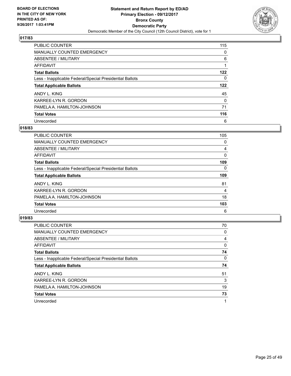![](_page_24_Picture_2.jpeg)

| <b>PUBLIC COUNTER</b>                                    | 115      |
|----------------------------------------------------------|----------|
| <b>MANUALLY COUNTED EMERGENCY</b>                        | 0        |
| ABSENTEE / MILITARY                                      | 6        |
| AFFIDAVIT                                                |          |
| <b>Total Ballots</b>                                     | 122      |
| Less - Inapplicable Federal/Special Presidential Ballots | 0        |
| <b>Total Applicable Ballots</b>                          | 122      |
| ANDY L. KING                                             | 45       |
| KARREE-LYN R. GORDON                                     | $\Omega$ |
| PAMELA A. HAMILTON-JOHNSON                               | 71       |
| <b>Total Votes</b>                                       | 116      |
| Unrecorded                                               | 6        |

#### **018/83**

| <b>PUBLIC COUNTER</b>                                    | 105      |
|----------------------------------------------------------|----------|
| <b>MANUALLY COUNTED EMERGENCY</b>                        | 0        |
| ABSENTEE / MILITARY                                      | 4        |
| AFFIDAVIT                                                | 0        |
| <b>Total Ballots</b>                                     | 109      |
| Less - Inapplicable Federal/Special Presidential Ballots | $\Omega$ |
| <b>Total Applicable Ballots</b>                          | 109      |
| ANDY L. KING                                             | 81       |
| KARREE-LYN R. GORDON                                     | 4        |
| PAMELA A. HAMILTON-JOHNSON                               | 18       |
| <b>Total Votes</b>                                       | 103      |
| Unrecorded                                               | 6        |

| <b>PUBLIC COUNTER</b>                                    | 70 |
|----------------------------------------------------------|----|
| MANUALLY COUNTED EMERGENCY                               | 0  |
| ABSENTEE / MILITARY                                      | 4  |
| <b>AFFIDAVIT</b>                                         | 0  |
| <b>Total Ballots</b>                                     | 74 |
| Less - Inapplicable Federal/Special Presidential Ballots | 0  |
| <b>Total Applicable Ballots</b>                          | 74 |
| ANDY L. KING                                             | 51 |
| KARREE-LYN R. GORDON                                     | 3  |
| PAMELA A. HAMILTON-JOHNSON                               | 19 |
| <b>Total Votes</b>                                       | 73 |
| Unrecorded                                               | 1  |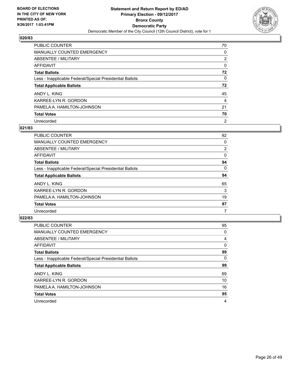![](_page_25_Picture_2.jpeg)

| PUBLIC COUNTER                                           | 70             |
|----------------------------------------------------------|----------------|
| <b>MANUALLY COUNTED EMERGENCY</b>                        | 0              |
| ABSENTEE / MILITARY                                      | $\overline{2}$ |
| AFFIDAVIT                                                | 0              |
| <b>Total Ballots</b>                                     | 72             |
| Less - Inapplicable Federal/Special Presidential Ballots | 0              |
| <b>Total Applicable Ballots</b>                          | 72             |
| ANDY L. KING                                             | 45             |
| KARREE-LYN R. GORDON                                     | 4              |
| PAMELA A. HAMILTON-JOHNSON                               | 21             |
| <b>Total Votes</b>                                       | 70             |
| Unrecorded                                               | $\overline{2}$ |

#### **021/83**

| <b>PUBLIC COUNTER</b>                                    | 92             |
|----------------------------------------------------------|----------------|
| <b>MANUALLY COUNTED EMERGENCY</b>                        | 0              |
| ABSENTEE / MILITARY                                      | $\overline{2}$ |
| <b>AFFIDAVIT</b>                                         | 0              |
| <b>Total Ballots</b>                                     | 94             |
| Less - Inapplicable Federal/Special Presidential Ballots | 0              |
| <b>Total Applicable Ballots</b>                          | 94             |
| ANDY L. KING                                             | 65             |
| KARREE-LYN R. GORDON                                     | 3              |
| PAMELA A. HAMILTON-JOHNSON                               | 19             |
| <b>Total Votes</b>                                       | 87             |
| Unrecorded                                               |                |

| <b>PUBLIC COUNTER</b>                                    | 95 |
|----------------------------------------------------------|----|
| <b>MANUALLY COUNTED EMERGENCY</b>                        | 0  |
| ABSENTEE / MILITARY                                      | 4  |
| AFFIDAVIT                                                | 0  |
| <b>Total Ballots</b>                                     | 99 |
| Less - Inapplicable Federal/Special Presidential Ballots | 0  |
| <b>Total Applicable Ballots</b>                          | 99 |
| ANDY L. KING                                             | 69 |
| KARREE-LYN R. GORDON                                     | 10 |
| PAMELA A. HAMILTON-JOHNSON                               | 16 |
| <b>Total Votes</b>                                       | 95 |
| Unrecorded                                               | 4  |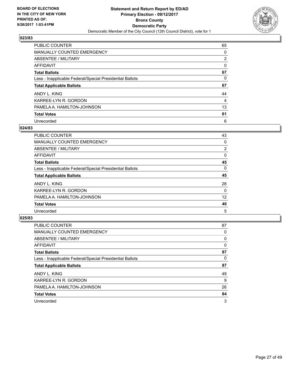![](_page_26_Picture_2.jpeg)

| <b>PUBLIC COUNTER</b>                                    | 65 |
|----------------------------------------------------------|----|
| <b>MANUALLY COUNTED EMERGENCY</b>                        | 0  |
| <b>ABSENTEE / MILITARY</b>                               | 2  |
| AFFIDAVIT                                                | 0  |
| <b>Total Ballots</b>                                     | 67 |
| Less - Inapplicable Federal/Special Presidential Ballots | 0  |
| <b>Total Applicable Ballots</b>                          | 67 |
| ANDY L. KING                                             | 44 |
| KARREE-LYN R. GORDON                                     | 4  |
| PAMELA A. HAMILTON-JOHNSON                               | 13 |
| <b>Total Votes</b>                                       | 61 |
| Unrecorded                                               | 6  |

#### **024/83**

| <b>PUBLIC COUNTER</b>                                    | 43 |
|----------------------------------------------------------|----|
| <b>MANUALLY COUNTED EMERGENCY</b>                        | 0  |
| ABSENTEE / MILITARY                                      | 2  |
| <b>AFFIDAVIT</b>                                         | 0  |
| <b>Total Ballots</b>                                     | 45 |
| Less - Inapplicable Federal/Special Presidential Ballots | 0  |
| <b>Total Applicable Ballots</b>                          | 45 |
| ANDY L. KING                                             | 28 |
| KARREE-LYN R. GORDON                                     | 0  |
| PAMELA A. HAMILTON-JOHNSON                               | 12 |
| <b>Total Votes</b>                                       | 40 |
| Unrecorded                                               | 5  |

| <b>PUBLIC COUNTER</b>                                    | 87 |
|----------------------------------------------------------|----|
| <b>MANUALLY COUNTED EMERGENCY</b>                        | 0  |
| ABSENTEE / MILITARY                                      | 0  |
| AFFIDAVIT                                                | 0  |
| <b>Total Ballots</b>                                     | 87 |
| Less - Inapplicable Federal/Special Presidential Ballots | 0  |
| <b>Total Applicable Ballots</b>                          | 87 |
| ANDY L. KING                                             | 49 |
| KARREE-LYN R. GORDON                                     | 9  |
| PAMELA A. HAMILTON-JOHNSON                               | 26 |
| <b>Total Votes</b>                                       | 84 |
| Unrecorded                                               | 3  |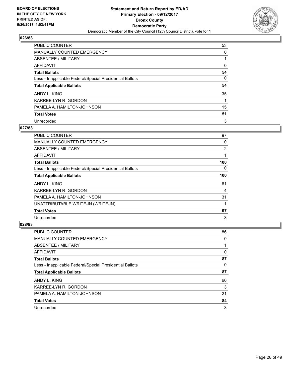![](_page_27_Picture_2.jpeg)

| PUBLIC COUNTER                                           | 53 |
|----------------------------------------------------------|----|
| <b>MANUALLY COUNTED EMERGENCY</b>                        | 0  |
| ABSENTEE / MILITARY                                      |    |
| <b>AFFIDAVIT</b>                                         | 0  |
| <b>Total Ballots</b>                                     | 54 |
| Less - Inapplicable Federal/Special Presidential Ballots | 0  |
| <b>Total Applicable Ballots</b>                          | 54 |
| ANDY L. KING                                             | 35 |
| KARREE-LYN R. GORDON                                     |    |
| PAMELA A. HAMILTON-JOHNSON                               | 15 |
| <b>Total Votes</b>                                       | 51 |
| Unrecorded                                               | 3  |

#### **027/83**

| <b>PUBLIC COUNTER</b>                                    | 97       |
|----------------------------------------------------------|----------|
| <b>MANUALLY COUNTED EMERGENCY</b>                        | 0        |
| ABSENTEE / MILITARY                                      | 2        |
| AFFIDAVIT                                                |          |
| <b>Total Ballots</b>                                     | 100      |
| Less - Inapplicable Federal/Special Presidential Ballots | $\Omega$ |
| <b>Total Applicable Ballots</b>                          | 100      |
| ANDY L. KING                                             | 61       |
| KARREE-LYN R. GORDON                                     | 4        |
| PAMELA A. HAMILTON-JOHNSON                               | 31       |
| UNATTRIBUTABLE WRITE-IN (WRITE-IN)                       |          |
| <b>Total Votes</b>                                       | 97       |
| Unrecorded                                               | 3        |

| <b>PUBLIC COUNTER</b>                                    | 86 |
|----------------------------------------------------------|----|
| <b>MANUALLY COUNTED EMERGENCY</b>                        | 0  |
| ABSENTEE / MILITARY                                      |    |
| AFFIDAVIT                                                | 0  |
| <b>Total Ballots</b>                                     | 87 |
| Less - Inapplicable Federal/Special Presidential Ballots | 0  |
| <b>Total Applicable Ballots</b>                          | 87 |
| ANDY L. KING                                             | 60 |
| KARREE-LYN R. GORDON                                     | 3  |
| PAMELA A. HAMILTON-JOHNSON                               | 21 |
| <b>Total Votes</b>                                       | 84 |
| Unrecorded                                               | 3  |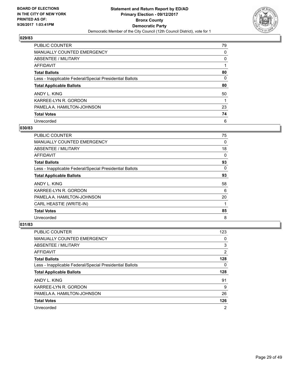![](_page_28_Picture_2.jpeg)

| <b>PUBLIC COUNTER</b>                                    | 79 |
|----------------------------------------------------------|----|
| <b>MANUALLY COUNTED EMERGENCY</b>                        | 0  |
| ABSENTEE / MILITARY                                      | 0  |
| AFFIDAVIT                                                |    |
| <b>Total Ballots</b>                                     | 80 |
| Less - Inapplicable Federal/Special Presidential Ballots | 0  |
| <b>Total Applicable Ballots</b>                          | 80 |
| ANDY L. KING                                             | 50 |
| KARREE-LYN R. GORDON                                     |    |
| PAMELA A. HAMILTON-JOHNSON                               | 23 |
| <b>Total Votes</b>                                       | 74 |
| Unrecorded                                               | 6  |

#### **030/83**

| <b>PUBLIC COUNTER</b>                                    | 75 |
|----------------------------------------------------------|----|
| <b>MANUALLY COUNTED EMERGENCY</b>                        | 0  |
| ABSENTEE / MILITARY                                      | 18 |
| AFFIDAVIT                                                | 0  |
| <b>Total Ballots</b>                                     | 93 |
| Less - Inapplicable Federal/Special Presidential Ballots | 0  |
| <b>Total Applicable Ballots</b>                          | 93 |
| ANDY L. KING                                             | 58 |
| KARREE-LYN R. GORDON                                     | 6  |
| PAMELA A. HAMILTON-JOHNSON                               | 20 |
| CARL HEASTIE (WRITE-IN)                                  |    |
| <b>Total Votes</b>                                       | 85 |
| Unrecorded                                               | 8  |

| <b>PUBLIC COUNTER</b>                                    | 123 |
|----------------------------------------------------------|-----|
| <b>MANUALLY COUNTED EMERGENCY</b>                        | 0   |
| ABSENTEE / MILITARY                                      | 3   |
| AFFIDAVIT                                                | 2   |
| <b>Total Ballots</b>                                     | 128 |
| Less - Inapplicable Federal/Special Presidential Ballots | 0   |
| <b>Total Applicable Ballots</b>                          | 128 |
| ANDY L. KING                                             | 91  |
| KARREE-LYN R. GORDON                                     | 9   |
| PAMELA A. HAMILTON-JOHNSON                               | 26  |
| <b>Total Votes</b>                                       | 126 |
| Unrecorded                                               | 2   |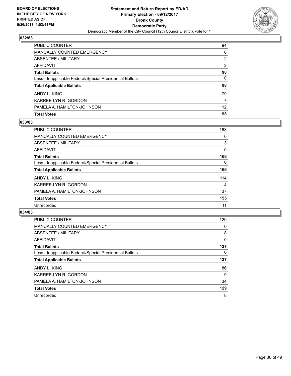![](_page_29_Picture_2.jpeg)

| <b>PUBLIC COUNTER</b>                                    | 94              |
|----------------------------------------------------------|-----------------|
| <b>MANUALLY COUNTED EMERGENCY</b>                        | $\Omega$        |
| <b>ABSENTEE / MILITARY</b>                               | 2               |
| AFFIDAVIT                                                | 2               |
| <b>Total Ballots</b>                                     | 98              |
| Less - Inapplicable Federal/Special Presidential Ballots | 0               |
| <b>Total Applicable Ballots</b>                          | 98              |
| ANDY L. KING                                             | 79              |
| KARREE-LYN R. GORDON                                     | 7               |
| PAMELA A. HAMILTON-JOHNSON                               | 12 <sup>2</sup> |
| <b>Total Votes</b>                                       | 98              |

#### **033/83**

| <b>PUBLIC COUNTER</b>                                    | 163 |
|----------------------------------------------------------|-----|
| <b>MANUALLY COUNTED EMERGENCY</b>                        | 0   |
| ABSENTEE / MILITARY                                      | 3   |
| AFFIDAVIT                                                | 0   |
| <b>Total Ballots</b>                                     | 166 |
| Less - Inapplicable Federal/Special Presidential Ballots | 0   |
| <b>Total Applicable Ballots</b>                          | 166 |
| ANDY L. KING                                             | 114 |
| KARREE-LYN R. GORDON                                     | 4   |
| PAMELA A. HAMILTON-JOHNSON                               | 37  |
| <b>Total Votes</b>                                       | 155 |
| Unrecorded                                               | 11  |
|                                                          |     |

| <b>PUBLIC COUNTER</b>                                    | 129      |
|----------------------------------------------------------|----------|
| <b>MANUALLY COUNTED EMERGENCY</b>                        | 0        |
| ABSENTEE / MILITARY                                      | 8        |
| <b>AFFIDAVIT</b>                                         | $\Omega$ |
| <b>Total Ballots</b>                                     | 137      |
| Less - Inapplicable Federal/Special Presidential Ballots | 0        |
| <b>Total Applicable Ballots</b>                          | 137      |
| ANDY L. KING                                             | 86       |
| KARREE-LYN R. GORDON                                     | 9        |
| PAMELA A. HAMILTON-JOHNSON                               | 34       |
| <b>Total Votes</b>                                       | 129      |
| Unrecorded                                               | 8        |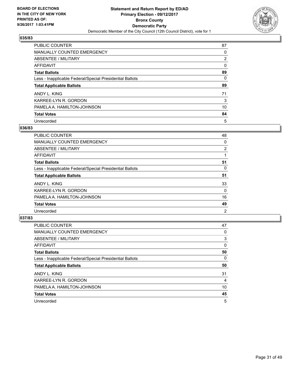![](_page_30_Picture_2.jpeg)

| <b>PUBLIC COUNTER</b>                                    | 87 |
|----------------------------------------------------------|----|
| <b>MANUALLY COUNTED EMERGENCY</b>                        | 0  |
| ABSENTEE / MILITARY                                      | 2  |
| AFFIDAVIT                                                | 0  |
| <b>Total Ballots</b>                                     | 89 |
| Less - Inapplicable Federal/Special Presidential Ballots | 0  |
| <b>Total Applicable Ballots</b>                          | 89 |
| ANDY L. KING                                             | 71 |
| KARREE-LYN R. GORDON                                     | 3  |
| PAMELA A. HAMILTON-JOHNSON                               | 10 |
| <b>Total Votes</b>                                       | 84 |
| Unrecorded                                               | 5  |

#### **036/83**

| <b>PUBLIC COUNTER</b>                                    | 48             |
|----------------------------------------------------------|----------------|
| <b>MANUALLY COUNTED EMERGENCY</b>                        | 0              |
| ABSENTEE / MILITARY                                      | 2              |
| <b>AFFIDAVIT</b>                                         |                |
| <b>Total Ballots</b>                                     | 51             |
| Less - Inapplicable Federal/Special Presidential Ballots | 0              |
| <b>Total Applicable Ballots</b>                          | 51             |
| ANDY L. KING                                             | 33             |
| KARREE-LYN R. GORDON                                     | 0              |
| PAMELA A. HAMILTON-JOHNSON                               | 16             |
| <b>Total Votes</b>                                       | 49             |
| Unrecorded                                               | $\overline{2}$ |

| <b>PUBLIC COUNTER</b>                                    | 47 |
|----------------------------------------------------------|----|
| <b>MANUALLY COUNTED EMERGENCY</b>                        | 0  |
| ABSENTEE / MILITARY                                      | 3  |
| <b>AFFIDAVIT</b>                                         | 0  |
| <b>Total Ballots</b>                                     | 50 |
| Less - Inapplicable Federal/Special Presidential Ballots | 0  |
| <b>Total Applicable Ballots</b>                          | 50 |
| ANDY L. KING                                             | 31 |
| KARREE-LYN R. GORDON                                     | 4  |
| PAMELA A. HAMILTON-JOHNSON                               | 10 |
| <b>Total Votes</b>                                       | 45 |
| Unrecorded                                               | 5  |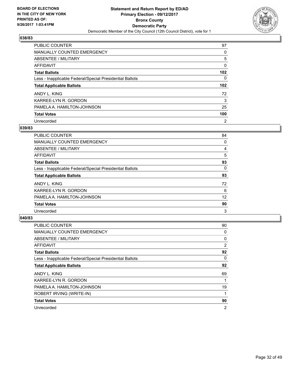![](_page_31_Picture_2.jpeg)

| <b>PUBLIC COUNTER</b>                                    | 97               |
|----------------------------------------------------------|------------------|
| <b>MANUALLY COUNTED EMERGENCY</b>                        | 0                |
| ABSENTEE / MILITARY                                      | 5                |
| AFFIDAVIT                                                | 0                |
| <b>Total Ballots</b>                                     | 102 <sub>2</sub> |
| Less - Inapplicable Federal/Special Presidential Ballots | 0                |
| <b>Total Applicable Ballots</b>                          | 102 <sub>2</sub> |
| ANDY L. KING                                             | 72               |
| KARREE-LYN R. GORDON                                     | 3                |
| PAMELA A. HAMILTON-JOHNSON                               | 25               |
| <b>Total Votes</b>                                       | 100              |
| Unrecorded                                               | $\overline{2}$   |

#### **039/83**

| <b>PUBLIC COUNTER</b>                                    | 84 |
|----------------------------------------------------------|----|
| MANUALLY COUNTED EMERGENCY                               | 0  |
| ABSENTEE / MILITARY                                      | 4  |
| <b>AFFIDAVIT</b>                                         | 5  |
| <b>Total Ballots</b>                                     | 93 |
| Less - Inapplicable Federal/Special Presidential Ballots | 0  |
| <b>Total Applicable Ballots</b>                          | 93 |
| ANDY L. KING                                             | 72 |
| KARREE-LYN R. GORDON                                     | 6  |
| PAMELA A. HAMILTON-JOHNSON                               | 12 |
| <b>Total Votes</b>                                       | 90 |
| Unrecorded                                               | 3  |

| <b>PUBLIC COUNTER</b>                                    | 90             |
|----------------------------------------------------------|----------------|
| MANUALLY COUNTED EMERGENCY                               | 0              |
| ABSENTEE / MILITARY                                      | 0              |
| AFFIDAVIT                                                | $\overline{2}$ |
| <b>Total Ballots</b>                                     | 92             |
| Less - Inapplicable Federal/Special Presidential Ballots | 0              |
| <b>Total Applicable Ballots</b>                          | 92             |
| ANDY L. KING                                             | 69             |
| KARREE-LYN R. GORDON                                     |                |
| PAMELA A. HAMILTON-JOHNSON                               | 19             |
| ROBERT IRVING (WRITE-IN)                                 |                |
| <b>Total Votes</b>                                       | 90             |
| Unrecorded                                               | 2              |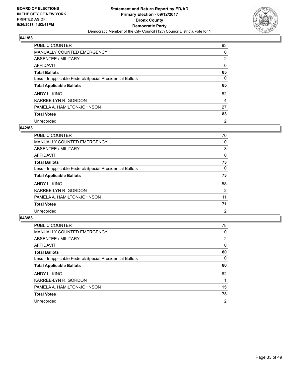![](_page_32_Picture_2.jpeg)

| <b>PUBLIC COUNTER</b>                                    | 83             |
|----------------------------------------------------------|----------------|
| <b>MANUALLY COUNTED EMERGENCY</b>                        | 0              |
| ABSENTEE / MILITARY                                      | $\overline{2}$ |
| AFFIDAVIT                                                | 0              |
| <b>Total Ballots</b>                                     | 85             |
| Less - Inapplicable Federal/Special Presidential Ballots | 0              |
| <b>Total Applicable Ballots</b>                          | 85             |
| ANDY L. KING                                             | 52             |
| KARREE-LYN R. GORDON                                     | 4              |
| PAMELA A. HAMILTON-JOHNSON                               | 27             |
| <b>Total Votes</b>                                       | 83             |
| Unrecorded                                               | $\overline{2}$ |

#### **042/83**

| <b>PUBLIC COUNTER</b>                                    | 70             |
|----------------------------------------------------------|----------------|
| <b>MANUALLY COUNTED EMERGENCY</b>                        | 0              |
| ABSENTEE / MILITARY                                      | 3              |
| AFFIDAVIT                                                | 0              |
| <b>Total Ballots</b>                                     | 73             |
| Less - Inapplicable Federal/Special Presidential Ballots | 0              |
| <b>Total Applicable Ballots</b>                          | 73             |
| ANDY L. KING                                             | 58             |
| KARREE-LYN R. GORDON                                     | $\overline{2}$ |
| PAMELA A. HAMILTON-JOHNSON                               | 11             |
| <b>Total Votes</b>                                       | 71             |
| Unrecorded                                               | 2              |

| <b>PUBLIC COUNTER</b>                                    | 78             |
|----------------------------------------------------------|----------------|
| <b>MANUALLY COUNTED EMERGENCY</b>                        | 0              |
| ABSENTEE / MILITARY                                      | 2              |
| AFFIDAVIT                                                | 0              |
| <b>Total Ballots</b>                                     | 80             |
| Less - Inapplicable Federal/Special Presidential Ballots | 0              |
| <b>Total Applicable Ballots</b>                          | 80             |
| ANDY L. KING                                             | 62             |
| KARREE-LYN R. GORDON                                     |                |
| PAMELA A. HAMILTON-JOHNSON                               | 15             |
| <b>Total Votes</b>                                       | 78             |
| Unrecorded                                               | $\overline{2}$ |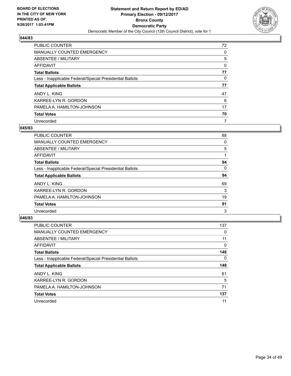![](_page_33_Picture_2.jpeg)

| <b>PUBLIC COUNTER</b>                                    | 72 |
|----------------------------------------------------------|----|
| MANUALLY COUNTED EMERGENCY                               | 0  |
| ABSENTEE / MILITARY                                      | 5  |
| AFFIDAVIT                                                | 0  |
| <b>Total Ballots</b>                                     | 77 |
| Less - Inapplicable Federal/Special Presidential Ballots | 0  |
| <b>Total Applicable Ballots</b>                          | 77 |
| ANDY L. KING                                             | 47 |
| KARREE-LYN R. GORDON                                     | 6  |
| PAMELA A. HAMILTON-JOHNSON                               | 17 |
| <b>Total Votes</b>                                       | 70 |
| Unrecorded                                               | 7  |

#### **045/83**

| <b>PUBLIC COUNTER</b>                                    | 88 |
|----------------------------------------------------------|----|
| MANUALLY COUNTED EMERGENCY                               | 0  |
| ABSENTEE / MILITARY                                      | 5  |
| <b>AFFIDAVIT</b>                                         |    |
| <b>Total Ballots</b>                                     | 94 |
| Less - Inapplicable Federal/Special Presidential Ballots | 0  |
| <b>Total Applicable Ballots</b>                          | 94 |
| ANDY L. KING                                             | 69 |
| KARREE-LYN R. GORDON                                     | 3  |
| PAMELA A. HAMILTON-JOHNSON                               | 19 |
| <b>Total Votes</b>                                       | 91 |
| Unrecorded                                               | 3  |

| <b>PUBLIC COUNTER</b>                                    | 137 |
|----------------------------------------------------------|-----|
| <b>MANUALLY COUNTED EMERGENCY</b>                        | 0   |
| ABSENTEE / MILITARY                                      | 11  |
| AFFIDAVIT                                                | 0   |
| <b>Total Ballots</b>                                     | 148 |
| Less - Inapplicable Federal/Special Presidential Ballots | 0   |
| <b>Total Applicable Ballots</b>                          | 148 |
| ANDY L. KING                                             | 61  |
| KARREE-LYN R. GORDON                                     | 5   |
| PAMELA A. HAMILTON-JOHNSON                               | 71  |
| <b>Total Votes</b>                                       | 137 |
| Unrecorded                                               | 11  |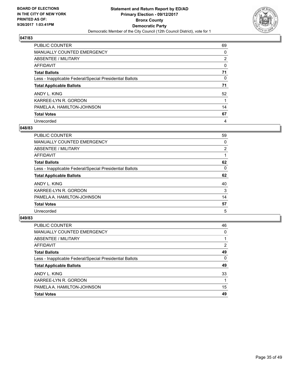![](_page_34_Picture_2.jpeg)

| <b>PUBLIC COUNTER</b>                                    | 69 |
|----------------------------------------------------------|----|
| <b>MANUALLY COUNTED EMERGENCY</b>                        | 0  |
| ABSENTEE / MILITARY                                      | 2  |
| AFFIDAVIT                                                | 0  |
| <b>Total Ballots</b>                                     | 71 |
| Less - Inapplicable Federal/Special Presidential Ballots | 0  |
| <b>Total Applicable Ballots</b>                          | 71 |
| ANDY L. KING                                             | 52 |
| KARREE-LYN R. GORDON                                     |    |
| PAMELA A. HAMILTON-JOHNSON                               | 14 |
| <b>Total Votes</b>                                       | 67 |
| Unrecorded                                               | 4  |

#### **048/83**

| <b>PUBLIC COUNTER</b>                                    | 59 |
|----------------------------------------------------------|----|
| MANUALLY COUNTED EMERGENCY                               | 0  |
| ABSENTEE / MILITARY                                      | 2  |
| <b>AFFIDAVIT</b>                                         |    |
| <b>Total Ballots</b>                                     | 62 |
| Less - Inapplicable Federal/Special Presidential Ballots | 0  |
| <b>Total Applicable Ballots</b>                          | 62 |
| ANDY L. KING                                             | 40 |
| KARREE-LYN R. GORDON                                     | 3  |
| PAMELA A. HAMILTON-JOHNSON                               | 14 |
| <b>Total Votes</b>                                       | 57 |
| Unrecorded                                               | 5  |

| <b>PUBLIC COUNTER</b>                                    | 46 |
|----------------------------------------------------------|----|
| <b>MANUALLY COUNTED EMERGENCY</b>                        | 0  |
| ABSENTEE / MILITARY                                      |    |
| AFFIDAVIT                                                | 2  |
| <b>Total Ballots</b>                                     | 49 |
| Less - Inapplicable Federal/Special Presidential Ballots | 0  |
| <b>Total Applicable Ballots</b>                          | 49 |
| ANDY L. KING                                             | 33 |
| KARREE-LYN R. GORDON                                     |    |
| PAMELA A. HAMILTON-JOHNSON                               | 15 |
| <b>Total Votes</b>                                       | 49 |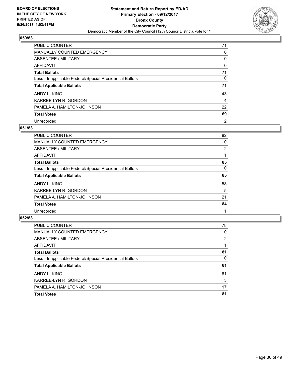![](_page_35_Picture_2.jpeg)

| <b>PUBLIC COUNTER</b>                                    | 71             |
|----------------------------------------------------------|----------------|
| MANUALLY COUNTED EMERGENCY                               | 0              |
| ABSENTEE / MILITARY                                      | 0              |
| AFFIDAVIT                                                | 0              |
| <b>Total Ballots</b>                                     | 71             |
| Less - Inapplicable Federal/Special Presidential Ballots | 0              |
| <b>Total Applicable Ballots</b>                          | 71             |
| ANDY L. KING                                             | 43             |
| KARREE-LYN R. GORDON                                     | 4              |
| PAMELA A. HAMILTON-JOHNSON                               | 22             |
| <b>Total Votes</b>                                       | 69             |
| Unrecorded                                               | $\overline{2}$ |

#### **051/83**

| <b>PUBLIC COUNTER</b>                                    | 82             |
|----------------------------------------------------------|----------------|
| <b>MANUALLY COUNTED EMERGENCY</b>                        | 0              |
| ABSENTEE / MILITARY                                      | $\overline{2}$ |
| AFFIDAVIT                                                |                |
| <b>Total Ballots</b>                                     | 85             |
| Less - Inapplicable Federal/Special Presidential Ballots | 0              |
| <b>Total Applicable Ballots</b>                          | 85             |
| ANDY L. KING                                             | 58             |
| KARREE-LYN R. GORDON                                     | 5              |
| PAMELA A. HAMILTON-JOHNSON                               | 21             |
| <b>Total Votes</b>                                       | 84             |
| Unrecorded                                               |                |

| <b>PUBLIC COUNTER</b>                                    | 78 |
|----------------------------------------------------------|----|
| <b>MANUALLY COUNTED EMERGENCY</b>                        | 0  |
| ABSENTEE / MILITARY                                      | 2  |
| AFFIDAVIT                                                |    |
| <b>Total Ballots</b>                                     | 81 |
| Less - Inapplicable Federal/Special Presidential Ballots | 0  |
| <b>Total Applicable Ballots</b>                          | 81 |
| ANDY L. KING                                             | 61 |
| KARREE-LYN R. GORDON                                     | 3  |
| PAMELA A. HAMILTON-JOHNSON                               | 17 |
| <b>Total Votes</b>                                       | 81 |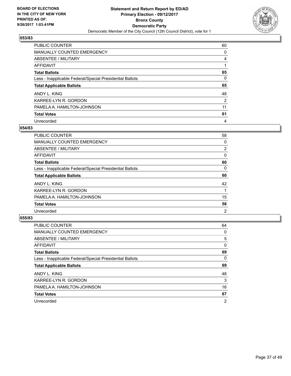![](_page_36_Picture_2.jpeg)

| <b>PUBLIC COUNTER</b>                                    | 60             |
|----------------------------------------------------------|----------------|
| <b>MANUALLY COUNTED EMERGENCY</b>                        | 0              |
| ABSENTEE / MILITARY                                      | 4              |
| AFFIDAVIT                                                |                |
| <b>Total Ballots</b>                                     | 65             |
| Less - Inapplicable Federal/Special Presidential Ballots | 0              |
| <b>Total Applicable Ballots</b>                          | 65             |
| ANDY L. KING                                             | 48             |
| KARREE-LYN R. GORDON                                     | $\overline{2}$ |
| PAMELA A. HAMILTON-JOHNSON                               | 11             |
| <b>Total Votes</b>                                       | 61             |
| Unrecorded                                               | 4              |

#### **054/83**

| <b>PUBLIC COUNTER</b>                                    | 58             |
|----------------------------------------------------------|----------------|
| <b>MANUALLY COUNTED EMERGENCY</b>                        | 0              |
| ABSENTEE / MILITARY                                      | $\overline{2}$ |
| AFFIDAVIT                                                | 0              |
| <b>Total Ballots</b>                                     | 60             |
| Less - Inapplicable Federal/Special Presidential Ballots | 0              |
| <b>Total Applicable Ballots</b>                          | 60             |
| ANDY L. KING                                             | 42             |
| KARREE-LYN R. GORDON                                     |                |
| PAMELA A. HAMILTON-JOHNSON                               | 15             |
| <b>Total Votes</b>                                       | 58             |
| Unrecorded                                               | $\overline{2}$ |

| <b>PUBLIC COUNTER</b>                                    | 64             |
|----------------------------------------------------------|----------------|
| <b>MANUALLY COUNTED EMERGENCY</b>                        | 0              |
| ABSENTEE / MILITARY                                      | 5              |
| <b>AFFIDAVIT</b>                                         | 0              |
| <b>Total Ballots</b>                                     | 69             |
| Less - Inapplicable Federal/Special Presidential Ballots | 0              |
| <b>Total Applicable Ballots</b>                          | 69             |
| ANDY L. KING                                             | 48             |
| KARREE-LYN R. GORDON                                     | 3              |
| PAMELA A. HAMILTON-JOHNSON                               | 16             |
| <b>Total Votes</b>                                       | 67             |
| Unrecorded                                               | $\overline{2}$ |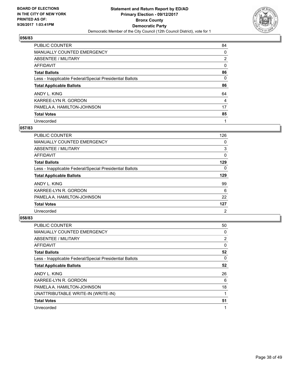![](_page_37_Picture_2.jpeg)

| <b>PUBLIC COUNTER</b>                                    | 84             |
|----------------------------------------------------------|----------------|
| MANUALLY COUNTED EMERGENCY                               | 0              |
| ABSENTEE / MILITARY                                      | $\overline{2}$ |
| AFFIDAVIT                                                | 0              |
| <b>Total Ballots</b>                                     | 86             |
| Less - Inapplicable Federal/Special Presidential Ballots | 0              |
| <b>Total Applicable Ballots</b>                          | 86             |
| ANDY L. KING                                             | 64             |
| KARREE-LYN R. GORDON                                     | 4              |
| PAMELA A. HAMILTON-JOHNSON                               | 17             |
| <b>Total Votes</b>                                       | 85             |
| Unrecorded                                               |                |

#### **057/83**

| PUBLIC COUNTER                                           | 126            |
|----------------------------------------------------------|----------------|
| <b>MANUALLY COUNTED EMERGENCY</b>                        | 0              |
| ABSENTEE / MILITARY                                      | 3              |
| <b>AFFIDAVIT</b>                                         | 0              |
| <b>Total Ballots</b>                                     | 129            |
| Less - Inapplicable Federal/Special Presidential Ballots | 0              |
| <b>Total Applicable Ballots</b>                          | 129            |
| ANDY L. KING                                             | 99             |
| KARREE-LYN R. GORDON                                     | 6              |
| PAMELA A. HAMILTON-JOHNSON                               | 22             |
| <b>Total Votes</b>                                       | 127            |
| Unrecorded                                               | $\overline{2}$ |

| <b>PUBLIC COUNTER</b>                                    | 50             |
|----------------------------------------------------------|----------------|
| MANUALLY COUNTED EMERGENCY                               | 0              |
| ABSENTEE / MILITARY                                      | $\overline{2}$ |
| <b>AFFIDAVIT</b>                                         | 0              |
| <b>Total Ballots</b>                                     | 52             |
| Less - Inapplicable Federal/Special Presidential Ballots | 0              |
| <b>Total Applicable Ballots</b>                          | 52             |
| ANDY L. KING                                             | 26             |
| KARREE-LYN R. GORDON                                     | 6              |
| PAMELA A. HAMILTON-JOHNSON                               | 18             |
| UNATTRIBUTABLE WRITE-IN (WRITE-IN)                       |                |
| <b>Total Votes</b>                                       | 51             |
| Unrecorded                                               |                |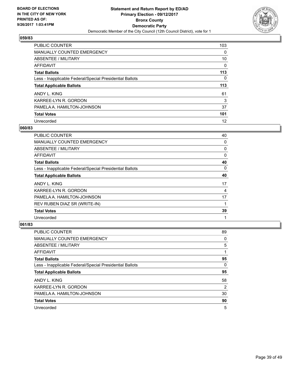![](_page_38_Picture_2.jpeg)

| <b>PUBLIC COUNTER</b>                                    | 103 |
|----------------------------------------------------------|-----|
| <b>MANUALLY COUNTED EMERGENCY</b>                        | 0   |
| ABSENTEE / MILITARY                                      | 10  |
| AFFIDAVIT                                                | 0   |
| <b>Total Ballots</b>                                     | 113 |
| Less - Inapplicable Federal/Special Presidential Ballots | 0   |
| <b>Total Applicable Ballots</b>                          | 113 |
| ANDY L. KING                                             | 61  |
| KARREE-LYN R. GORDON                                     | 3   |
| PAMELA A. HAMILTON-JOHNSON                               | 37  |
| <b>Total Votes</b>                                       | 101 |
| Unrecorded                                               | 12  |

#### **060/83**

| <b>PUBLIC COUNTER</b>                                    | 40 |
|----------------------------------------------------------|----|
| MANUALLY COUNTED EMERGENCY                               | 0  |
| ABSENTEE / MILITARY                                      | 0  |
| AFFIDAVIT                                                | 0  |
| <b>Total Ballots</b>                                     | 40 |
| Less - Inapplicable Federal/Special Presidential Ballots | 0  |
| <b>Total Applicable Ballots</b>                          | 40 |
| ANDY L. KING                                             | 17 |
| KARREE-LYN R. GORDON                                     | 4  |
| PAMELA A. HAMILTON-JOHNSON                               | 17 |
| REV RUBEN DIAZ SR (WRITE-IN)                             |    |
| <b>Total Votes</b>                                       | 39 |
| Unrecorded                                               | 1  |

| <b>PUBLIC COUNTER</b>                                    | 89 |
|----------------------------------------------------------|----|
| <b>MANUALLY COUNTED EMERGENCY</b>                        | 0  |
| ABSENTEE / MILITARY                                      | 5  |
| AFFIDAVIT                                                |    |
| <b>Total Ballots</b>                                     | 95 |
| Less - Inapplicable Federal/Special Presidential Ballots | 0  |
| <b>Total Applicable Ballots</b>                          | 95 |
| ANDY L. KING                                             | 58 |
| KARREE-LYN R. GORDON                                     | 2  |
| PAMELA A. HAMILTON-JOHNSON                               | 30 |
| <b>Total Votes</b>                                       | 90 |
| Unrecorded                                               | 5  |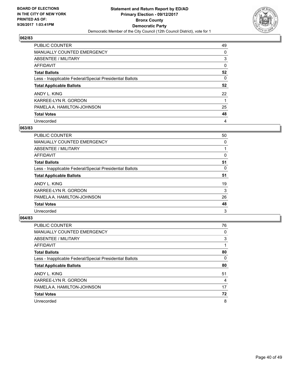![](_page_39_Picture_2.jpeg)

| <b>PUBLIC COUNTER</b>                                    | 49 |
|----------------------------------------------------------|----|
| MANUALLY COUNTED EMERGENCY                               | 0  |
| ABSENTEE / MILITARY                                      | 3  |
| AFFIDAVIT                                                | 0  |
| <b>Total Ballots</b>                                     | 52 |
| Less - Inapplicable Federal/Special Presidential Ballots | 0  |
| <b>Total Applicable Ballots</b>                          | 52 |
| ANDY L. KING                                             | 22 |
| KARREE-LYN R. GORDON                                     |    |
| PAMELA A. HAMILTON-JOHNSON                               | 25 |
| <b>Total Votes</b>                                       | 48 |
| Unrecorded                                               | 4  |

#### **063/83**

| <b>PUBLIC COUNTER</b>                                    | 50 |
|----------------------------------------------------------|----|
| <b>MANUALLY COUNTED EMERGENCY</b>                        | 0  |
| ABSENTEE / MILITARY                                      |    |
| AFFIDAVIT                                                | 0  |
| <b>Total Ballots</b>                                     | 51 |
| Less - Inapplicable Federal/Special Presidential Ballots | 0  |
| <b>Total Applicable Ballots</b>                          | 51 |
| ANDY L. KING                                             | 19 |
| KARREE-LYN R. GORDON                                     | 3  |
| PAMELA A. HAMILTON-JOHNSON                               | 26 |
| <b>Total Votes</b>                                       | 48 |
| Unrecorded                                               | 3  |

| <b>PUBLIC COUNTER</b>                                    | 76 |
|----------------------------------------------------------|----|
| <b>MANUALLY COUNTED EMERGENCY</b>                        | 0  |
| ABSENTEE / MILITARY                                      | 3  |
| AFFIDAVIT                                                |    |
| <b>Total Ballots</b>                                     | 80 |
| Less - Inapplicable Federal/Special Presidential Ballots | 0  |
| <b>Total Applicable Ballots</b>                          | 80 |
| ANDY L. KING                                             | 51 |
| KARREE-LYN R. GORDON                                     | 4  |
| PAMELA A. HAMILTON-JOHNSON                               | 17 |
| <b>Total Votes</b>                                       | 72 |
| Unrecorded                                               | 8  |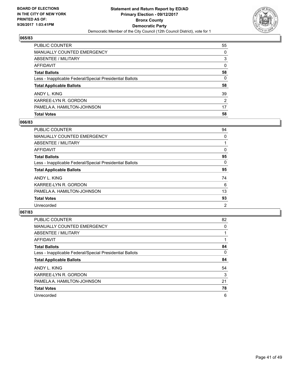![](_page_40_Picture_2.jpeg)

| <b>Total Votes</b>                                       | 58 |
|----------------------------------------------------------|----|
| PAMELA A. HAMILTON-JOHNSON                               | 17 |
| KARREE-LYN R. GORDON                                     | 2  |
| ANDY L. KING                                             | 39 |
| <b>Total Applicable Ballots</b>                          | 58 |
| Less - Inapplicable Federal/Special Presidential Ballots | 0  |
| <b>Total Ballots</b>                                     | 58 |
| AFFIDAVIT                                                | 0  |
| ABSENTEE / MILITARY                                      | 3  |
| <b>MANUALLY COUNTED EMERGENCY</b>                        | 0  |
| <b>PUBLIC COUNTER</b>                                    | 55 |

## **066/83**

| PUBLIC COUNTER                                           | 94 |
|----------------------------------------------------------|----|
| <b>MANUALLY COUNTED EMERGENCY</b>                        | 0  |
| <b>ABSENTEE / MILITARY</b>                               |    |
| AFFIDAVIT                                                | 0  |
| <b>Total Ballots</b>                                     | 95 |
| Less - Inapplicable Federal/Special Presidential Ballots | 0  |
| <b>Total Applicable Ballots</b>                          | 95 |
| ANDY L. KING                                             | 74 |
| KARREE-LYN R. GORDON                                     | 6  |
| PAMELA A. HAMILTON-JOHNSON                               | 13 |
| <b>Total Votes</b>                                       | 93 |
| Unrecorded                                               | 2  |
|                                                          |    |

| <b>PUBLIC COUNTER</b>                                    | 82 |
|----------------------------------------------------------|----|
| MANUALLY COUNTED EMERGENCY                               | 0  |
| ABSENTEE / MILITARY                                      |    |
| <b>AFFIDAVIT</b>                                         |    |
| <b>Total Ballots</b>                                     | 84 |
| Less - Inapplicable Federal/Special Presidential Ballots | 0  |
| <b>Total Applicable Ballots</b>                          | 84 |
| ANDY L. KING                                             | 54 |
| KARREE-LYN R. GORDON                                     | 3  |
| PAMELA A. HAMILTON-JOHNSON                               | 21 |
| <b>Total Votes</b>                                       | 78 |
| Unrecorded                                               | 6  |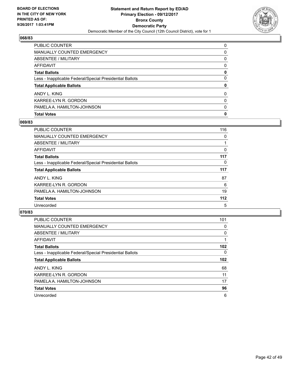![](_page_41_Picture_2.jpeg)

| PUBLIC COUNTER                                           | 0 |
|----------------------------------------------------------|---|
| <b>MANUALLY COUNTED EMERGENCY</b>                        | 0 |
| <b>ABSENTEE / MILITARY</b>                               | 0 |
| <b>AFFIDAVIT</b>                                         | 0 |
| <b>Total Ballots</b>                                     | 0 |
| Less - Inapplicable Federal/Special Presidential Ballots | 0 |
| <b>Total Applicable Ballots</b>                          | 0 |
| ANDY L. KING                                             | 0 |
| KARREE-LYN R. GORDON                                     | 0 |
| PAMELA A. HAMILTON-JOHNSON                               | 0 |
| <b>Total Votes</b>                                       | 0 |

## **069/83**

| <b>PUBLIC COUNTER</b>                                    | 116 |
|----------------------------------------------------------|-----|
| <b>MANUALLY COUNTED EMERGENCY</b>                        | 0   |
| ABSENTEE / MILITARY                                      |     |
| AFFIDAVIT                                                | 0   |
| <b>Total Ballots</b>                                     | 117 |
| Less - Inapplicable Federal/Special Presidential Ballots | 0   |
| <b>Total Applicable Ballots</b>                          | 117 |
| ANDY L. KING                                             | 87  |
| KARREE-LYN R. GORDON                                     | 6   |
| PAMELA A. HAMILTON-JOHNSON                               | 19  |
| <b>Total Votes</b>                                       | 112 |
| Unrecorded                                               | 5   |
|                                                          |     |

| <b>PUBLIC COUNTER</b>                                    | 101      |
|----------------------------------------------------------|----------|
| MANUALLY COUNTED EMERGENCY                               | 0        |
| ABSENTEE / MILITARY                                      | $\Omega$ |
| <b>AFFIDAVIT</b>                                         |          |
| <b>Total Ballots</b>                                     | 102      |
| Less - Inapplicable Federal/Special Presidential Ballots | 0        |
| <b>Total Applicable Ballots</b>                          | 102      |
| ANDY L. KING                                             | 68       |
| KARREE-LYN R. GORDON                                     | 11       |
| PAMELA A. HAMILTON-JOHNSON                               | 17       |
| <b>Total Votes</b>                                       | 96       |
| Unrecorded                                               | 6        |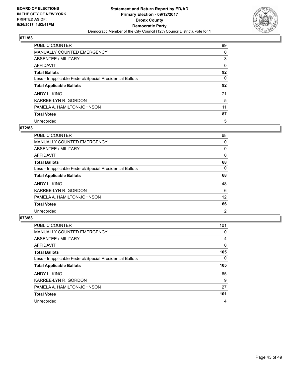![](_page_42_Picture_2.jpeg)

| <b>PUBLIC COUNTER</b>                                    | 89 |
|----------------------------------------------------------|----|
| <b>MANUALLY COUNTED EMERGENCY</b>                        | 0  |
| <b>ABSENTEE / MILITARY</b>                               | 3  |
| AFFIDAVIT                                                | 0  |
| <b>Total Ballots</b>                                     | 92 |
| Less - Inapplicable Federal/Special Presidential Ballots | 0  |
| <b>Total Applicable Ballots</b>                          | 92 |
| ANDY L. KING                                             | 71 |
| KARREE-LYN R. GORDON                                     | 5  |
| PAMELA A. HAMILTON-JOHNSON                               | 11 |
| <b>Total Votes</b>                                       | 87 |
| Unrecorded                                               | 5  |

#### **072/83**

| <b>PUBLIC COUNTER</b>                                    | 68             |
|----------------------------------------------------------|----------------|
| <b>MANUALLY COUNTED EMERGENCY</b>                        | 0              |
| ABSENTEE / MILITARY                                      | 0              |
| <b>AFFIDAVIT</b>                                         | 0              |
| <b>Total Ballots</b>                                     | 68             |
| Less - Inapplicable Federal/Special Presidential Ballots | 0              |
| <b>Total Applicable Ballots</b>                          | 68             |
| ANDY L. KING                                             | 48             |
| KARREE-LYN R. GORDON                                     | 6              |
| PAMELA A. HAMILTON-JOHNSON                               | 12             |
| <b>Total Votes</b>                                       | 66             |
| Unrecorded                                               | $\overline{2}$ |

| <b>PUBLIC COUNTER</b>                                    | 101 |
|----------------------------------------------------------|-----|
| <b>MANUALLY COUNTED EMERGENCY</b>                        | 0   |
| ABSENTEE / MILITARY                                      | 4   |
| <b>AFFIDAVIT</b>                                         | 0   |
| <b>Total Ballots</b>                                     | 105 |
| Less - Inapplicable Federal/Special Presidential Ballots | 0   |
| <b>Total Applicable Ballots</b>                          | 105 |
| ANDY L. KING                                             | 65  |
| KARREE-LYN R. GORDON                                     | 9   |
| PAMELA A. HAMILTON-JOHNSON                               | 27  |
| <b>Total Votes</b>                                       | 101 |
|                                                          |     |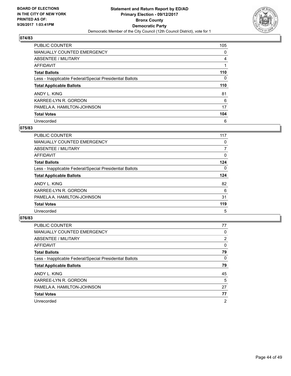![](_page_43_Picture_2.jpeg)

| <b>PUBLIC COUNTER</b>                                    | 105 |
|----------------------------------------------------------|-----|
| MANUALLY COUNTED EMERGENCY                               | 0   |
| ABSENTEE / MILITARY                                      | 4   |
| AFFIDAVIT                                                |     |
| <b>Total Ballots</b>                                     | 110 |
| Less - Inapplicable Federal/Special Presidential Ballots | 0   |
| <b>Total Applicable Ballots</b>                          | 110 |
| ANDY L. KING                                             | 81  |
| KARREE-LYN R. GORDON                                     | 6   |
| PAMELA A. HAMILTON-JOHNSON                               | 17  |
| <b>Total Votes</b>                                       | 104 |
| Unrecorded                                               | 6   |

#### **075/83**

| <b>PUBLIC COUNTER</b>                                    | 117 |
|----------------------------------------------------------|-----|
| <b>MANUALLY COUNTED EMERGENCY</b>                        | 0   |
| ABSENTEE / MILITARY                                      | 7   |
| <b>AFFIDAVIT</b>                                         | 0   |
| <b>Total Ballots</b>                                     | 124 |
| Less - Inapplicable Federal/Special Presidential Ballots | 0   |
| <b>Total Applicable Ballots</b>                          | 124 |
| ANDY L. KING                                             | 82  |
| KARREE-LYN R. GORDON                                     | 6   |
| PAMELA A. HAMILTON-JOHNSON                               | 31  |
| <b>Total Votes</b>                                       | 119 |
| Unrecorded                                               | 5   |

| <b>PUBLIC COUNTER</b>                                    | 77             |
|----------------------------------------------------------|----------------|
| <b>MANUALLY COUNTED EMERGENCY</b>                        | 0              |
| ABSENTEE / MILITARY                                      | 2              |
| AFFIDAVIT                                                | 0              |
| <b>Total Ballots</b>                                     | 79             |
| Less - Inapplicable Federal/Special Presidential Ballots | 0              |
| <b>Total Applicable Ballots</b>                          | 79             |
| ANDY L. KING                                             | 45             |
| KARREE-LYN R. GORDON                                     | 5              |
| PAMELA A. HAMILTON-JOHNSON                               | 27             |
| <b>Total Votes</b>                                       | 77             |
| Unrecorded                                               | $\overline{2}$ |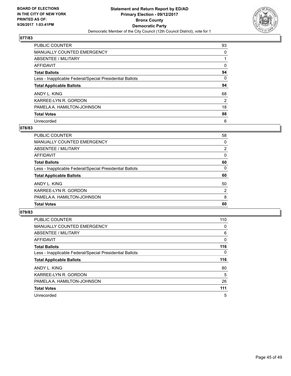![](_page_44_Picture_2.jpeg)

| <b>PUBLIC COUNTER</b>                                    | 93 |
|----------------------------------------------------------|----|
| <b>MANUALLY COUNTED EMERGENCY</b>                        | 0  |
| <b>ABSENTEE / MILITARY</b>                               |    |
| AFFIDAVIT                                                | 0  |
| <b>Total Ballots</b>                                     | 94 |
| Less - Inapplicable Federal/Special Presidential Ballots | 0  |
| <b>Total Applicable Ballots</b>                          | 94 |
| ANDY L. KING                                             | 68 |
| KARREE-LYN R. GORDON                                     | 2  |
| PAMELA A. HAMILTON-JOHNSON                               | 18 |
| <b>Total Votes</b>                                       | 88 |
| Unrecorded                                               | 6  |

#### **078/83**

| <b>PUBLIC COUNTER</b>                                    | 58             |
|----------------------------------------------------------|----------------|
| <b>MANUALLY COUNTED EMERGENCY</b>                        | 0              |
| ABSENTEE / MILITARY                                      | 2              |
| AFFIDAVIT                                                | 0              |
| <b>Total Ballots</b>                                     | 60             |
| Less - Inapplicable Federal/Special Presidential Ballots | 0              |
| <b>Total Applicable Ballots</b>                          | 60             |
| ANDY L. KING                                             | 50             |
| KARREE-LYN R. GORDON                                     | $\overline{2}$ |
| PAMELA A. HAMILTON-JOHNSON                               | 8              |
| <b>Total Votes</b>                                       | 60             |

| <b>PUBLIC COUNTER</b>                                    | 110      |
|----------------------------------------------------------|----------|
| MANUALLY COUNTED EMERGENCY                               | 0        |
| ABSENTEE / MILITARY                                      | 6        |
| <b>AFFIDAVIT</b>                                         | $\Omega$ |
| <b>Total Ballots</b>                                     | 116      |
| Less - Inapplicable Federal/Special Presidential Ballots | 0        |
| <b>Total Applicable Ballots</b>                          | 116      |
| ANDY L. KING                                             | 80       |
| KARREE-LYN R. GORDON                                     | 5        |
| PAMELA A. HAMILTON-JOHNSON                               | 26       |
| <b>Total Votes</b>                                       | 111      |
| Unrecorded                                               | 5        |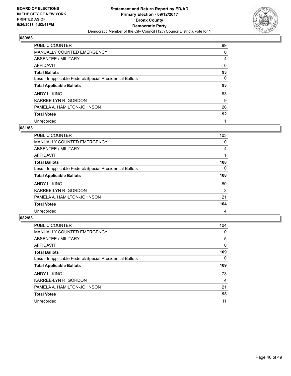![](_page_45_Picture_2.jpeg)

| <b>PUBLIC COUNTER</b>                                    | 89 |
|----------------------------------------------------------|----|
| <b>MANUALLY COUNTED EMERGENCY</b>                        | 0  |
| ABSENTEE / MILITARY                                      | 4  |
| AFFIDAVIT                                                | 0  |
| <b>Total Ballots</b>                                     | 93 |
| Less - Inapplicable Federal/Special Presidential Ballots | 0  |
| <b>Total Applicable Ballots</b>                          | 93 |
| ANDY L. KING                                             | 63 |
| KARREE-LYN R. GORDON                                     | 9  |
| PAMELA A. HAMILTON-JOHNSON                               | 20 |
| <b>Total Votes</b>                                       | 92 |
| Unrecorded                                               |    |

#### **081/83**

| <b>PUBLIC COUNTER</b>                                    | 103      |
|----------------------------------------------------------|----------|
| MANUALLY COUNTED EMERGENCY                               | 0        |
| ABSENTEE / MILITARY                                      | 4        |
| <b>AFFIDAVIT</b>                                         |          |
| <b>Total Ballots</b>                                     | 108      |
| Less - Inapplicable Federal/Special Presidential Ballots | $\Omega$ |
| <b>Total Applicable Ballots</b>                          | 108      |
| ANDY L. KING                                             | 80       |
| KARREE-LYN R. GORDON                                     | 3        |
| PAMELA A. HAMILTON-JOHNSON                               | 21       |
| <b>Total Votes</b>                                       | 104      |
| Unrecorded                                               | 4        |

| <b>PUBLIC COUNTER</b>                                    | 104 |
|----------------------------------------------------------|-----|
| MANUALLY COUNTED EMERGENCY                               | 0   |
| ABSENTEE / MILITARY                                      | 5   |
| <b>AFFIDAVIT</b>                                         | 0   |
| <b>Total Ballots</b>                                     | 109 |
| Less - Inapplicable Federal/Special Presidential Ballots | 0   |
| <b>Total Applicable Ballots</b>                          | 109 |
| ANDY L. KING                                             | 73  |
| KARREE-LYN R. GORDON                                     | 4   |
| PAMELA A. HAMILTON-JOHNSON                               | 21  |
| <b>Total Votes</b>                                       | 98  |
| Unrecorded                                               | 11  |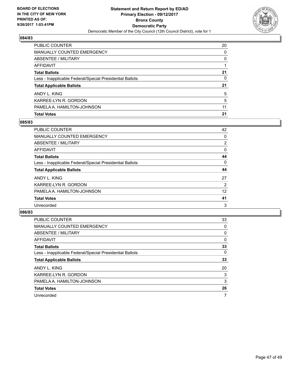![](_page_46_Picture_2.jpeg)

| <b>Total Votes</b>                                       | 21 |
|----------------------------------------------------------|----|
| PAMELA A. HAMILTON-JOHNSON                               | 11 |
| KARREE-LYN R. GORDON                                     | 5  |
| ANDY L. KING                                             | 5  |
| <b>Total Applicable Ballots</b>                          | 21 |
| Less - Inapplicable Federal/Special Presidential Ballots | 0  |
| <b>Total Ballots</b>                                     | 21 |
| AFFIDAVIT                                                |    |
| ABSENTEE / MILITARY                                      | 0  |
| <b>MANUALLY COUNTED EMERGENCY</b>                        | 0  |
| <b>PUBLIC COUNTER</b>                                    | 20 |

## **085/83**

| <b>PUBLIC COUNTER</b>                                    | 42             |
|----------------------------------------------------------|----------------|
| <b>MANUALLY COUNTED EMERGENCY</b>                        | 0              |
| <b>ABSENTEE / MILITARY</b>                               | $\overline{2}$ |
| <b>AFFIDAVIT</b>                                         | 0              |
| <b>Total Ballots</b>                                     | 44             |
| Less - Inapplicable Federal/Special Presidential Ballots | 0              |
| <b>Total Applicable Ballots</b>                          | 44             |
| ANDY L. KING                                             | 27             |
| KARREE-LYN R. GORDON                                     | 2              |
| PAMELA A. HAMILTON-JOHNSON                               | 12             |
| <b>Total Votes</b>                                       | 41             |
| Unrecorded                                               | 3              |
|                                                          |                |

| <b>PUBLIC COUNTER</b>                                    | 33 |
|----------------------------------------------------------|----|
| MANUALLY COUNTED EMERGENCY                               | 0  |
| ABSENTEE / MILITARY                                      | 0  |
| <b>AFFIDAVIT</b>                                         | 0  |
| <b>Total Ballots</b>                                     | 33 |
| Less - Inapplicable Federal/Special Presidential Ballots | 0  |
| <b>Total Applicable Ballots</b>                          | 33 |
| ANDY L. KING                                             | 20 |
| KARREE-LYN R. GORDON                                     | 3  |
| PAMELA A. HAMILTON-JOHNSON                               | 3  |
| <b>Total Votes</b>                                       | 26 |
| Unrecorded                                               | 7  |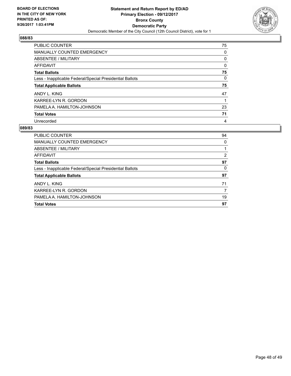![](_page_47_Picture_2.jpeg)

| <b>PUBLIC COUNTER</b>                                    | 75 |
|----------------------------------------------------------|----|
| <b>MANUALLY COUNTED EMERGENCY</b>                        | 0  |
| ABSENTEE / MILITARY                                      | 0  |
| AFFIDAVIT                                                | 0  |
| <b>Total Ballots</b>                                     | 75 |
| Less - Inapplicable Federal/Special Presidential Ballots | 0  |
| <b>Total Applicable Ballots</b>                          | 75 |
|                                                          |    |
| ANDY L. KING                                             | 47 |
| KARREE-LYN R. GORDON                                     |    |
| PAMELA A. HAMILTON-JOHNSON                               | 23 |
| <b>Total Votes</b>                                       | 71 |

| <b>PUBLIC COUNTER</b>                                    | 94 |
|----------------------------------------------------------|----|
| <b>MANUALLY COUNTED EMERGENCY</b>                        | 0  |
| ABSENTEE / MILITARY                                      |    |
| AFFIDAVIT                                                | 2  |
| <b>Total Ballots</b>                                     | 97 |
| Less - Inapplicable Federal/Special Presidential Ballots | 0  |
| <b>Total Applicable Ballots</b>                          | 97 |
| ANDY L. KING                                             | 71 |
| KARREE-LYN R. GORDON                                     |    |
| PAMELA A. HAMILTON-JOHNSON                               | 19 |
| <b>Total Votes</b>                                       | 97 |